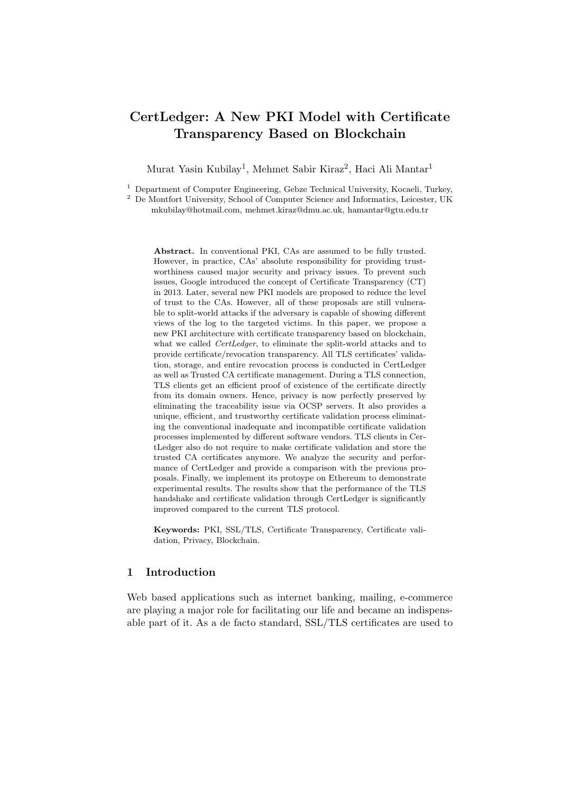# CertLedger: A New PKI Model with Certificate Transparency Based on Blockchain

Murat Yasin Kubilay<sup>1</sup>, Mehmet Sabir Kiraz<sup>2</sup>, Haci Ali Mantar<sup>1</sup>

<sup>1</sup> Department of Computer Engineering, Gebze Technical University, Kocaeli, Turkey,

<sup>2</sup> De Montfort University, School of Computer Science and Informatics, Leicester, UK mkubilay@hotmail.com, mehmet.kiraz@dmu.ac.uk, hamantar@gtu.edu.tr

Abstract. In conventional PKI, CAs are assumed to be fully trusted. However, in practice, CAs' absolute responsibility for providing trustworthiness caused major security and privacy issues. To prevent such issues, Google introduced the concept of Certificate Transparency (CT) in 2013. Later, several new PKI models are proposed to reduce the level of trust to the CAs. However, all of these proposals are still vulnerable to split-world attacks if the adversary is capable of showing different views of the log to the targeted victims. In this paper, we propose a new PKI architecture with certificate transparency based on blockchain, what we called *CertLedger*, to eliminate the split-world attacks and to provide certificate/revocation transparency. All TLS certificates' validation, storage, and entire revocation process is conducted in CertLedger as well as Trusted CA certificate management. During a TLS connection, TLS clients get an efficient proof of existence of the certificate directly from its domain owners. Hence, privacy is now perfectly preserved by eliminating the traceability issue via OCSP servers. It also provides a unique, efficient, and trustworthy certificate validation process eliminating the conventional inadequate and incompatible certificate validation processes implemented by different software vendors. TLS clients in CertLedger also do not require to make certificate validation and store the trusted CA certificates anymore. We analyze the security and performance of CertLedger and provide a comparison with the previous proposals. Finally, we implement its protoype on Ethereum to demonstrate experimental results. The results show that the performance of the TLS handshake and certificate validation through CertLedger is significantly improved compared to the current TLS protocol.

Keywords: PKI, SSL/TLS, Certificate Transparency, Certificate validation, Privacy, Blockchain.

# <span id="page-0-0"></span>1 Introduction

Web based applications such as internet banking, mailing, e-commerce are playing a major role for facilitating our life and became an indispensable part of it. As a de facto standard, SSL/TLS certificates are used to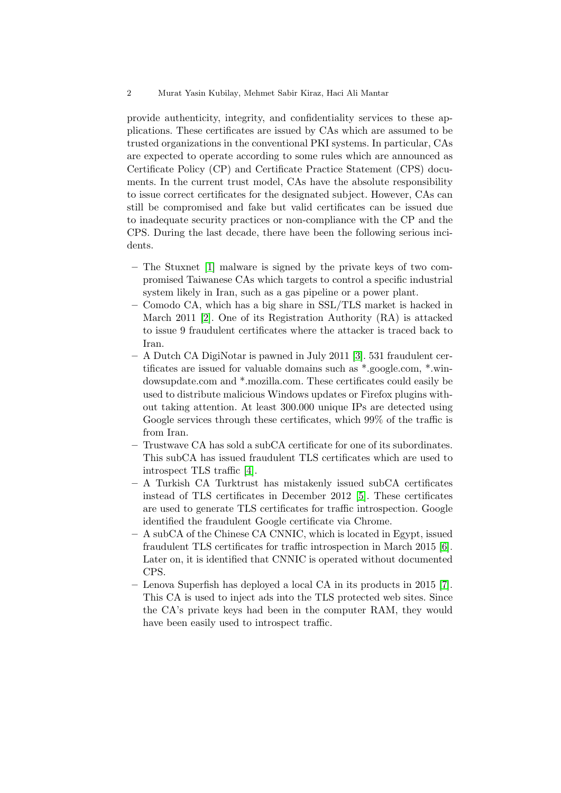provide authenticity, integrity, and confidentiality services to these applications. These certificates are issued by CAs which are assumed to be trusted organizations in the conventional PKI systems. In particular, CAs are expected to operate according to some rules which are announced as Certificate Policy (CP) and Certificate Practice Statement (CPS) documents. In the current trust model, CAs have the absolute responsibility to issue correct certificates for the designated subject. However, CAs can still be compromised and fake but valid certificates can be issued due to inadequate security practices or non-compliance with the CP and the CPS. During the last decade, there have been the following serious incidents.

- The Stuxnet [\[1\]](#page-38-0) malware is signed by the private keys of two compromised Taiwanese CAs which targets to control a specific industrial system likely in Iran, such as a gas pipeline or a power plant.
- Comodo CA, which has a big share in SSL/TLS market is hacked in March 2011 [\[2\]](#page-38-1). One of its Registration Authority (RA) is attacked to issue 9 fraudulent certificates where the attacker is traced back to Iran.
- A Dutch CA DigiNotar is pawned in July 2011 [\[3\]](#page-38-2). 531 fraudulent certificates are issued for valuable domains such as \*.google.com, \*.windowsupdate.com and \*.mozilla.com. These certificates could easily be used to distribute malicious Windows updates or Firefox plugins without taking attention. At least 300.000 unique IPs are detected using Google services through these certificates, which 99% of the traffic is from Iran.
- Trustwave CA has sold a subCA certificate for one of its subordinates. This subCA has issued fraudulent TLS certificates which are used to introspect TLS traffic [\[4\]](#page-39-0).
- A Turkish CA Turktrust has mistakenly issued subCA certificates instead of TLS certificates in December 2012 [\[5\]](#page-39-1). These certificates are used to generate TLS certificates for traffic introspection. Google identified the fraudulent Google certificate via Chrome.
- A subCA of the Chinese CA CNNIC, which is located in Egypt, issued fraudulent TLS certificates for traffic introspection in March 2015 [\[6\]](#page-39-2). Later on, it is identified that CNNIC is operated without documented CPS.
- Lenova Superfish has deployed a local CA in its products in 2015 [\[7\]](#page-39-3). This CA is used to inject ads into the TLS protected web sites. Since the CA's private keys had been in the computer RAM, they would have been easily used to introspect traffic.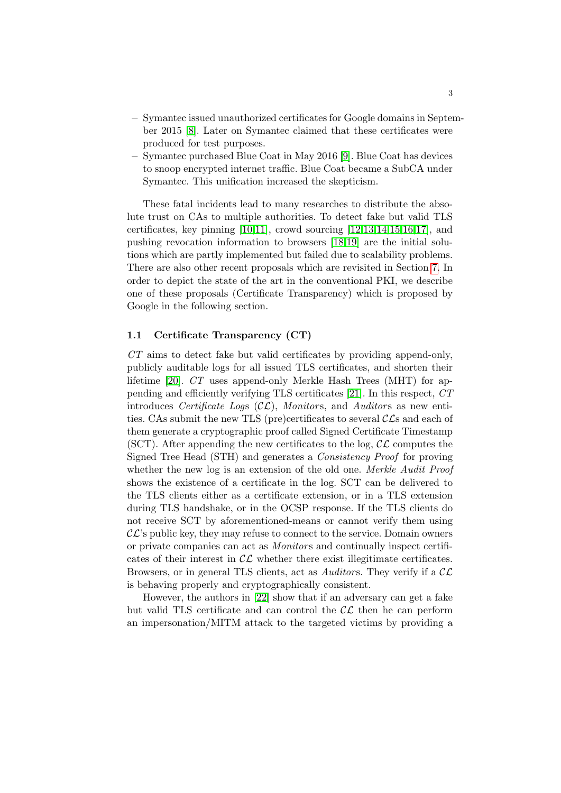- Symantec issued unauthorized certificates for Google domains in September 2015 [\[8\]](#page-39-4). Later on Symantec claimed that these certificates were produced for test purposes.
- Symantec purchased Blue Coat in May 2016 [\[9\]](#page-39-5). Blue Coat has devices to snoop encrypted internet traffic. Blue Coat became a SubCA under Symantec. This unification increased the skepticism.

These fatal incidents lead to many researches to distribute the absolute trust on CAs to multiple authorities. To detect fake but valid TLS certificates, key pinning  $[10,11]$  $[10,11]$ , crowd sourcing  $[12,13,14,15,16,17]$  $[12,13,14,15,16,17]$  $[12,13,14,15,16,17]$  $[12,13,14,15,16,17]$  $[12,13,14,15,16,17]$  $[12,13,14,15,16,17]$ , and pushing revocation information to browsers [\[18,](#page-39-14)[19\]](#page-39-15) are the initial solutions which are partly implemented but failed due to scalability problems. There are also other recent proposals which are revisited in Section [7.](#page-28-0) In order to depict the state of the art in the conventional PKI, we describe one of these proposals (Certificate Transparency) which is proposed by Google in the following section.

# 1.1 Certificate Transparency (CT)

 $CT$  aims to detect fake but valid certificates by providing append-only, publicly auditable logs for all issued TLS certificates, and shorten their lifetime [\[20\]](#page-39-16). CT uses append-only Merkle Hash Trees (MHT) for appending and efficiently verifying TLS certificates [\[21\]](#page-39-17). In this respect, CT introduces Certificate Logs  $(C\mathcal{L})$ , Monitors, and Auditors as new entities. CAs submit the new TLS (pre)certificates to several  $\mathcal{CL}$ s and each of them generate a cryptographic proof called Signed Certificate Timestamp (SCT). After appending the new certificates to the log,  $\mathcal{CL}$  computes the Signed Tree Head (STH) and generates a Consistency Proof for proving whether the new log is an extension of the old one. *Merkle Audit Proof* shows the existence of a certificate in the log. SCT can be delivered to the TLS clients either as a certificate extension, or in a TLS extension during TLS handshake, or in the OCSP response. If the TLS clients do not receive SCT by aforementioned-means or cannot verify them using  $\mathcal{CL}$ 's public key, they may refuse to connect to the service. Domain owners or private companies can act as *Monitors* and continually inspect certificates of their interest in  $\mathcal{CL}$  whether there exist illegitimate certificates. Browsers, or in general TLS clients, act as Auditors. They verify if a  $\mathcal{CL}$ is behaving properly and cryptographically consistent.

However, the authors in [\[22\]](#page-39-18) show that if an adversary can get a fake but valid TLS certificate and can control the  $\mathcal{CL}$  then he can perform an impersonation/MITM attack to the targeted victims by providing a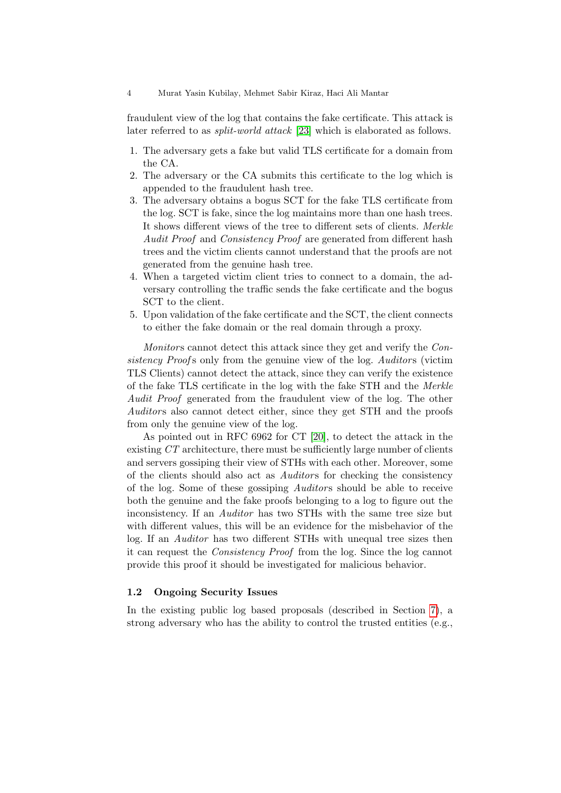fraudulent view of the log that contains the fake certificate. This attack is later referred to as *split-world attack* [\[23\]](#page-39-19) which is elaborated as follows.

- 1. The adversary gets a fake but valid TLS certificate for a domain from the CA.
- 2. The adversary or the CA submits this certificate to the log which is appended to the fraudulent hash tree.
- 3. The adversary obtains a bogus SCT for the fake TLS certificate from the log. SCT is fake, since the log maintains more than one hash trees. It shows different views of the tree to different sets of clients. Merkle Audit Proof and Consistency Proof are generated from different hash trees and the victim clients cannot understand that the proofs are not generated from the genuine hash tree.
- 4. When a targeted victim client tries to connect to a domain, the adversary controlling the traffic sends the fake certificate and the bogus SCT to the client.
- 5. Upon validation of the fake certificate and the SCT, the client connects to either the fake domain or the real domain through a proxy.

Monitors cannot detect this attack since they get and verify the Consistency Proofs only from the genuine view of the log. Auditors (victim TLS Clients) cannot detect the attack, since they can verify the existence of the fake TLS certificate in the log with the fake STH and the Merkle Audit Proof generated from the fraudulent view of the log. The other Auditors also cannot detect either, since they get STH and the proofs from only the genuine view of the log.

As pointed out in RFC 6962 for CT [\[20\]](#page-39-16), to detect the attack in the existing CT architecture, there must be sufficiently large number of clients and servers gossiping their view of STHs with each other. Moreover, some of the clients should also act as *Auditors* for checking the consistency of the log. Some of these gossiping *Auditors* should be able to receive both the genuine and the fake proofs belonging to a log to figure out the inconsistency. If an Auditor has two STHs with the same tree size but with different values, this will be an evidence for the misbehavior of the log. If an Auditor has two different STHs with unequal tree sizes then it can request the Consistency Proof from the log. Since the log cannot provide this proof it should be investigated for malicious behavior.

# <span id="page-3-0"></span>1.2 Ongoing Security Issues

In the existing public log based proposals (described in Section [7\)](#page-28-0), a strong adversary who has the ability to control the trusted entities (e.g.,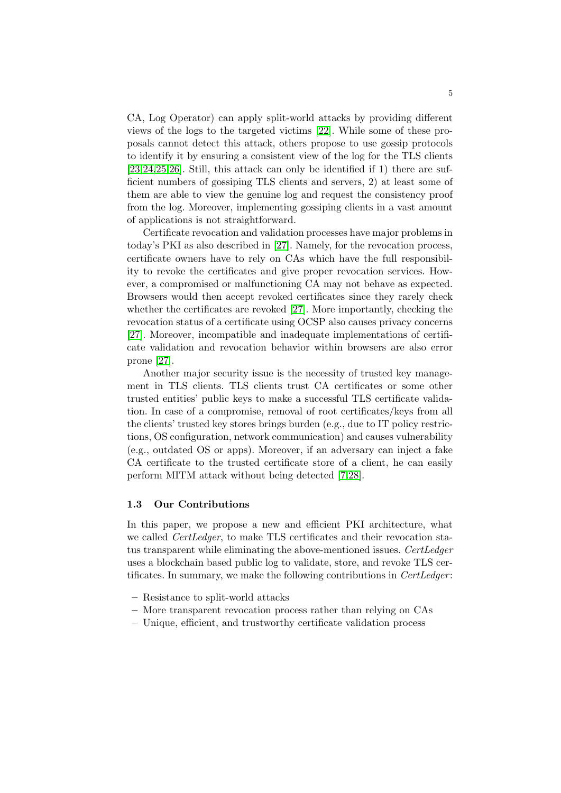CA, Log Operator) can apply split-world attacks by providing different views of the logs to the targeted victims [\[22\]](#page-39-18). While some of these proposals cannot detect this attack, others propose to use gossip protocols to identify it by ensuring a consistent view of the log for the TLS clients [\[23,](#page-39-19)[24,](#page-39-20)[25,](#page-40-0)[26\]](#page-40-1). Still, this attack can only be identified if 1) there are sufficient numbers of gossiping TLS clients and servers, 2) at least some of them are able to view the genuine log and request the consistency proof from the log. Moreover, implementing gossiping clients in a vast amount of applications is not straightforward.

Certificate revocation and validation processes have major problems in today's PKI as also described in [\[27\]](#page-40-2). Namely, for the revocation process, certificate owners have to rely on CAs which have the full responsibility to revoke the certificates and give proper revocation services. However, a compromised or malfunctioning CA may not behave as expected. Browsers would then accept revoked certificates since they rarely check whether the certificates are revoked [\[27\]](#page-40-2). More importantly, checking the revocation status of a certificate using OCSP also causes privacy concerns [\[27\]](#page-40-2). Moreover, incompatible and inadequate implementations of certificate validation and revocation behavior within browsers are also error prone [\[27\]](#page-40-2).

Another major security issue is the necessity of trusted key management in TLS clients. TLS clients trust CA certificates or some other trusted entities' public keys to make a successful TLS certificate validation. In case of a compromise, removal of root certificates/keys from all the clients' trusted key stores brings burden (e.g., due to IT policy restrictions, OS configuration, network communication) and causes vulnerability (e.g., outdated OS or apps). Moreover, if an adversary can inject a fake CA certificate to the trusted certificate store of a client, he can easily perform MITM attack without being detected [\[7,](#page-39-3)[28\]](#page-40-3).

#### 1.3 Our Contributions

In this paper, we propose a new and efficient PKI architecture, what we called *CertLedger*, to make TLS certificates and their revocation status transparent while eliminating the above-mentioned issues. CertLedger uses a blockchain based public log to validate, store, and revoke TLS certificates. In summary, we make the following contributions in *CertLedger*:

- Resistance to split-world attacks
- More transparent revocation process rather than relying on CAs
- Unique, efficient, and trustworthy certificate validation process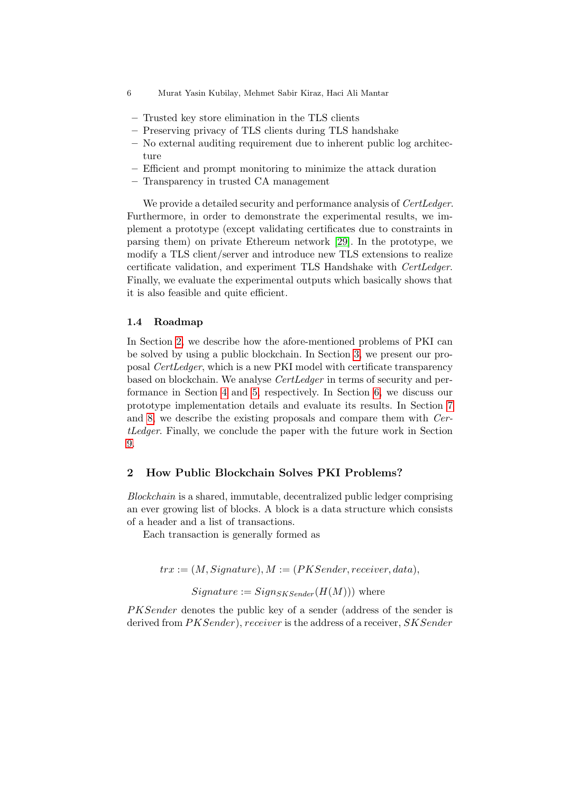- 6 Murat Yasin Kubilay, Mehmet Sabir Kiraz, Haci Ali Mantar
- Trusted key store elimination in the TLS clients
- Preserving privacy of TLS clients during TLS handshake
- No external auditing requirement due to inherent public log architecture
- Efficient and prompt monitoring to minimize the attack duration
- Transparency in trusted CA management

We provide a detailed security and performance analysis of CertLedger. Furthermore, in order to demonstrate the experimental results, we implement a prototype (except validating certificates due to constraints in parsing them) on private Ethereum network [\[29\]](#page-40-4). In the prototype, we modify a TLS client/server and introduce new TLS extensions to realize certificate validation, and experiment TLS Handshake with CertLedger. Finally, we evaluate the experimental outputs which basically shows that it is also feasible and quite efficient.

#### 1.4 Roadmap

In Section [2,](#page-5-0) we describe how the afore-mentioned problems of PKI can be solved by using a public blockchain. In Section [3,](#page-9-0) we present our proposal CertLedger, which is a new PKI model with certificate transparency based on blockchain. We analyse CertLedger in terms of security and performance in Section [4](#page-20-0) and [5,](#page-24-0) respectively. In Section [6,](#page-27-0) we discuss our prototype implementation details and evaluate its results. In Section [7](#page-28-0) and [8,](#page-35-0) we describe the existing proposals and compare them with CertLedger. Finally, we conclude the paper with the future work in Section [9.](#page-38-3)

# <span id="page-5-0"></span>2 How Public Blockchain Solves PKI Problems?

Blockchain is a shared, immutable, decentralized public ledger comprising an ever growing list of blocks. A block is a data structure which consists of a header and a list of transactions.

Each transaction is generally formed as

 $trx := (M, Signature), M := (PKSender, receiver, data),$ 

 $Signature := Sign_{SKSender}(H(M)))$  where

PKSender denotes the public key of a sender (address of the sender is derived from PKSender), receiver is the address of a receiver, SKSender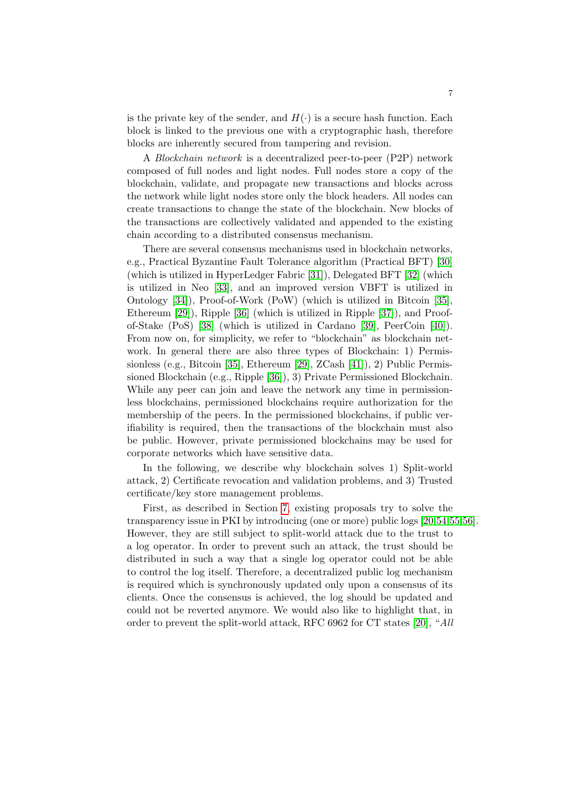is the private key of the sender, and  $H(\cdot)$  is a secure hash function. Each block is linked to the previous one with a cryptographic hash, therefore blocks are inherently secured from tampering and revision.

A Blockchain network is a decentralized peer-to-peer (P2P) network composed of full nodes and light nodes. Full nodes store a copy of the blockchain, validate, and propagate new transactions and blocks across the network while light nodes store only the block headers. All nodes can create transactions to change the state of the blockchain. New blocks of the transactions are collectively validated and appended to the existing chain according to a distributed consensus mechanism.

There are several consensus mechanisms used in blockchain networks, e.g., Practical Byzantine Fault Tolerance algorithm (Practical BFT) [\[30\]](#page-40-5) (which is utilized in HyperLedger Fabric [\[31\]](#page-40-6)), Delegated BFT [\[32\]](#page-40-7) (which is utilized in Neo [\[33\]](#page-40-8), and an improved version VBFT is utilized in Ontology [\[34\]](#page-40-9)), Proof-of-Work (PoW) (which is utilized in Bitcoin [\[35\]](#page-40-10), Ethereum [\[29\]](#page-40-4)), Ripple [\[36\]](#page-40-11) (which is utilized in Ripple [\[37\]](#page-40-12)), and Proofof-Stake (PoS) [\[38\]](#page-40-13) (which is utilized in Cardano [\[39\]](#page-40-14), PeerCoin [\[40\]](#page-40-15)). From now on, for simplicity, we refer to "blockchain" as blockchain network. In general there are also three types of Blockchain: 1) Permissionless (e.g., Bitcoin [\[35\]](#page-40-10), Ethereum [\[29\]](#page-40-4), ZCash [\[41\]](#page-40-16)), 2) Public Permissioned Blockchain (e.g., Ripple [\[36\]](#page-40-11)), 3) Private Permissioned Blockchain. While any peer can join and leave the network any time in permissionless blockchains, permissioned blockchains require authorization for the membership of the peers. In the permissioned blockchains, if public verifiability is required, then the transactions of the blockchain must also be public. However, private permissioned blockchains may be used for corporate networks which have sensitive data.

In the following, we describe why blockchain solves 1) Split-world attack, 2) Certificate revocation and validation problems, and 3) Trusted certificate/key store management problems.

First, as described in Section [7,](#page-28-0) existing proposals try to solve the transparency issue in PKI by introducing (one or more) public logs [\[20,](#page-39-16)[54,](#page-41-0)[55,](#page-41-1)[56\]](#page-41-2). However, they are still subject to split-world attack due to the trust to a log operator. In order to prevent such an attack, the trust should be distributed in such a way that a single log operator could not be able to control the log itself. Therefore, a decentralized public log mechanism is required which is synchronously updated only upon a consensus of its clients. Once the consensus is achieved, the log should be updated and could not be reverted anymore. We would also like to highlight that, in order to prevent the split-world attack, RFC 6962 for CT states [\[20\]](#page-39-16), "All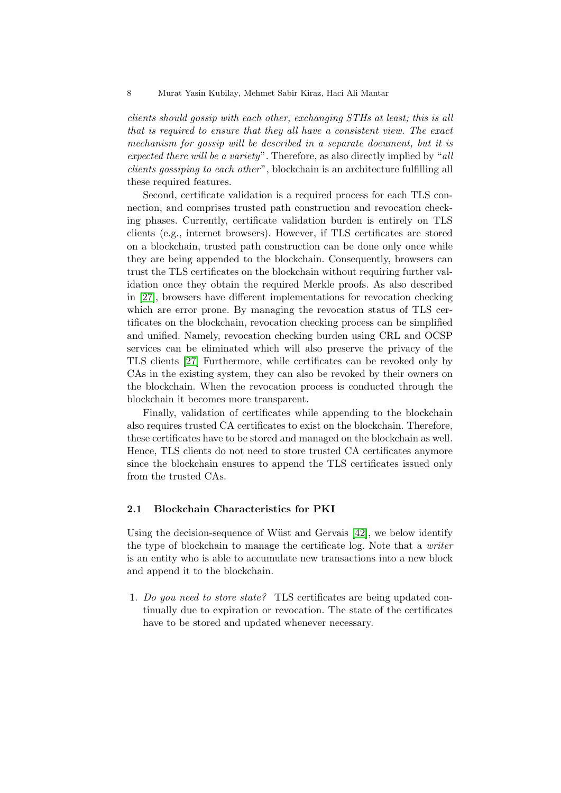clients should gossip with each other, exchanging STHs at least; this is all that is required to ensure that they all have a consistent view. The exact mechanism for gossip will be described in a separate document, but it is expected there will be a variety". Therefore, as also directly implied by "all clients gossiping to each other", blockchain is an architecture fulfilling all these required features.

Second, certificate validation is a required process for each TLS connection, and comprises trusted path construction and revocation checking phases. Currently, certificate validation burden is entirely on TLS clients (e.g., internet browsers). However, if TLS certificates are stored on a blockchain, trusted path construction can be done only once while they are being appended to the blockchain. Consequently, browsers can trust the TLS certificates on the blockchain without requiring further validation once they obtain the required Merkle proofs. As also described in [\[27\]](#page-40-2), browsers have different implementations for revocation checking which are error prone. By managing the revocation status of TLS certificates on the blockchain, revocation checking process can be simplified and unified. Namely, revocation checking burden using CRL and OCSP services can be eliminated which will also preserve the privacy of the TLS clients [\[27\]](#page-40-2) Furthermore, while certificates can be revoked only by CAs in the existing system, they can also be revoked by their owners on the blockchain. When the revocation process is conducted through the blockchain it becomes more transparent.

Finally, validation of certificates while appending to the blockchain also requires trusted CA certificates to exist on the blockchain. Therefore, these certificates have to be stored and managed on the blockchain as well. Hence, TLS clients do not need to store trusted CA certificates anymore since the blockchain ensures to append the TLS certificates issued only from the trusted CAs.

#### 2.1 Blockchain Characteristics for PKI

Using the decision-sequence of Wüst and Gervais  $[42]$ , we below identify the type of blockchain to manage the certificate log. Note that a writer is an entity who is able to accumulate new transactions into a new block and append it to the blockchain.

1. Do you need to store state? TLS certificates are being updated continually due to expiration or revocation. The state of the certificates have to be stored and updated whenever necessary.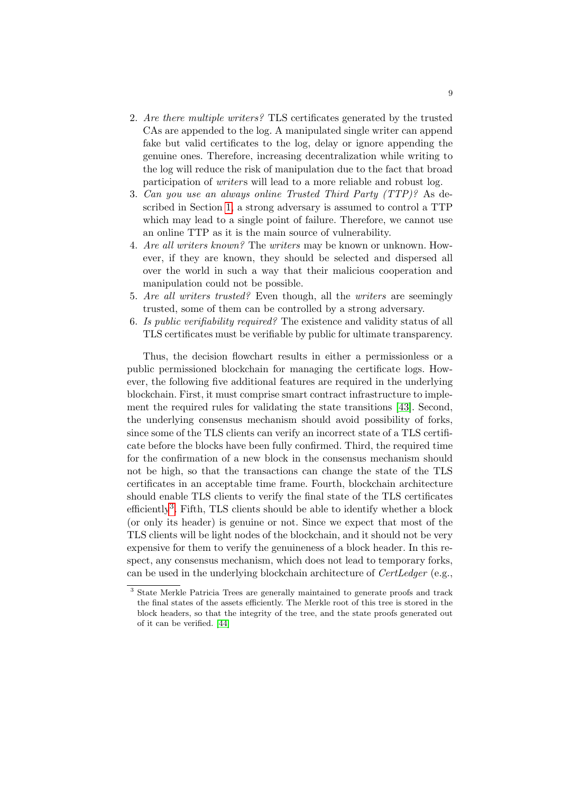- 2. Are there multiple writers? TLS certificates generated by the trusted CAs are appended to the log. A manipulated single writer can append fake but valid certificates to the log, delay or ignore appending the genuine ones. Therefore, increasing decentralization while writing to the log will reduce the risk of manipulation due to the fact that broad participation of *writers* will lead to a more reliable and robust log.
- 3. Can you use an always online Trusted Third Party (TTP)? As described in Section [1,](#page-0-0) a strong adversary is assumed to control a TTP which may lead to a single point of failure. Therefore, we cannot use an online TTP as it is the main source of vulnerability.
- 4. Are all writers known? The writers may be known or unknown. However, if they are known, they should be selected and dispersed all over the world in such a way that their malicious cooperation and manipulation could not be possible.
- 5. Are all writers trusted? Even though, all the writers are seemingly trusted, some of them can be controlled by a strong adversary.
- 6. Is public verifiability required? The existence and validity status of all TLS certificates must be verifiable by public for ultimate transparency.

Thus, the decision flowchart results in either a permissionless or a public permissioned blockchain for managing the certificate logs. However, the following five additional features are required in the underlying blockchain. First, it must comprise smart contract infrastructure to implement the required rules for validating the state transitions [\[43\]](#page-40-18). Second, the underlying consensus mechanism should avoid possibility of forks, since some of the TLS clients can verify an incorrect state of a TLS certificate before the blocks have been fully confirmed. Third, the required time for the confirmation of a new block in the consensus mechanism should not be high, so that the transactions can change the state of the TLS certificates in an acceptable time frame. Fourth, blockchain architecture should enable TLS clients to verify the final state of the TLS certificates efficiently<sup>[3](#page-8-0)</sup>. Fifth, TLS clients should be able to identify whether a block (or only its header) is genuine or not. Since we expect that most of the TLS clients will be light nodes of the blockchain, and it should not be very expensive for them to verify the genuineness of a block header. In this respect, any consensus mechanism, which does not lead to temporary forks, can be used in the underlying blockchain architecture of *CertLedger* (e.g.,

<span id="page-8-0"></span><sup>&</sup>lt;sup>3</sup> State Merkle Patricia Trees are generally maintained to generate proofs and track the final states of the assets efficiently. The Merkle root of this tree is stored in the block headers, so that the integrity of the tree, and the state proofs generated out of it can be verified. [\[44\]](#page-40-19)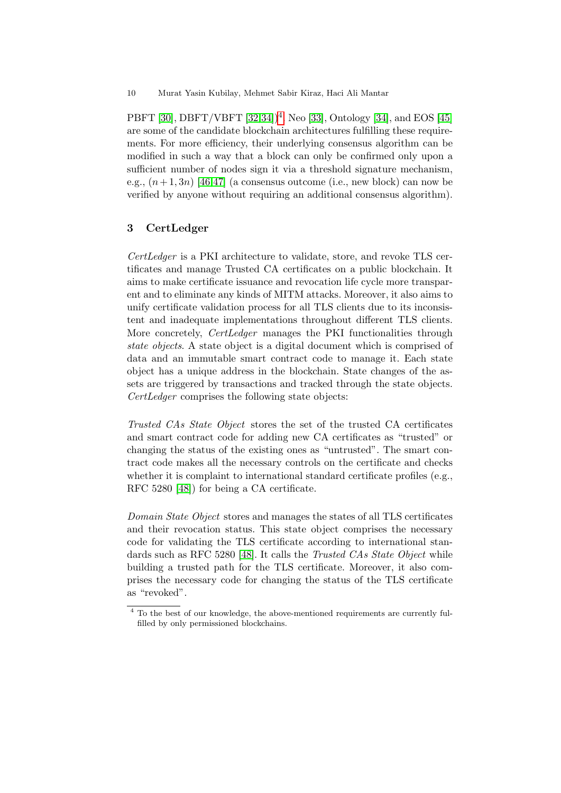PBFT [\[30\]](#page-40-5), DBFT/VBFT [\[32](#page-40-7)[,34\]](#page-40-9))<sup>[4](#page-9-1)</sup>. Neo [\[33\]](#page-40-8), Ontology [\[34\]](#page-40-9), and EOS [\[45\]](#page-40-20) are some of the candidate blockchain architectures fulfilling these requirements. For more efficiency, their underlying consensus algorithm can be modified in such a way that a block can only be confirmed only upon a sufficient number of nodes sign it via a threshold signature mechanism, e.g.,  $(n+1, 3n)$  [\[46](#page-40-21)[,47\]](#page-41-3) (a consensus outcome (i.e., new block) can now be verified by anyone without requiring an additional consensus algorithm).

# <span id="page-9-0"></span>3 CertLedger

CertLedger is a PKI architecture to validate, store, and revoke TLS certificates and manage Trusted CA certificates on a public blockchain. It aims to make certificate issuance and revocation life cycle more transparent and to eliminate any kinds of MITM attacks. Moreover, it also aims to unify certificate validation process for all TLS clients due to its inconsistent and inadequate implementations throughout different TLS clients. More concretely, CertLedger manages the PKI functionalities through state objects. A state object is a digital document which is comprised of data and an immutable smart contract code to manage it. Each state object has a unique address in the blockchain. State changes of the assets are triggered by transactions and tracked through the state objects. CertLedger comprises the following state objects:

Trusted CAs State Object stores the set of the trusted CA certificates and smart contract code for adding new CA certificates as "trusted" or changing the status of the existing ones as "untrusted". The smart contract code makes all the necessary controls on the certificate and checks whether it is complaint to international standard certificate profiles (e.g., RFC 5280 [\[48\]](#page-41-4)) for being a CA certificate.

Domain State Object stores and manages the states of all TLS certificates and their revocation status. This state object comprises the necessary code for validating the TLS certificate according to international stan-dards such as RFC 5280 [\[48\]](#page-41-4). It calls the *Trusted CAs State Object* while building a trusted path for the TLS certificate. Moreover, it also comprises the necessary code for changing the status of the TLS certificate as "revoked".

<span id="page-9-1"></span><sup>4</sup> To the best of our knowledge, the above-mentioned requirements are currently fulfilled by only permissioned blockchains.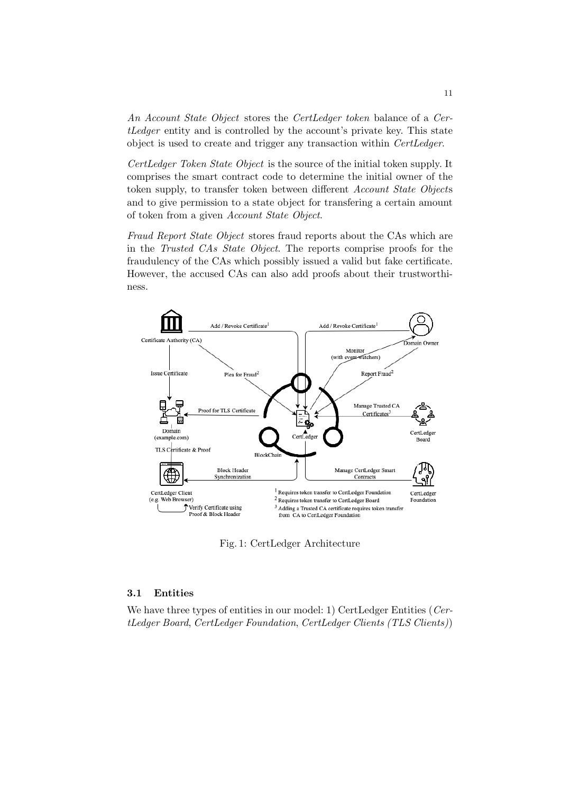An Account State Object stores the CertLedger token balance of a CertLedger entity and is controlled by the account's private key. This state object is used to create and trigger any transaction within CertLedger.

CertLedger Token State Object is the source of the initial token supply. It comprises the smart contract code to determine the initial owner of the token supply, to transfer token between different Account State Objects and to give permission to a state object for transfering a certain amount of token from a given Account State Object.

Fraud Report State Object stores fraud reports about the CAs which are in the Trusted CAs State Object. The reports comprise proofs for the fraudulency of the CAs which possibly issued a valid but fake certificate. However, the accused CAs can also add proofs about their trustworthiness.



Fig. 1: CertLedger Architecture

# 3.1 Entities

We have three types of entities in our model: 1) CertLedger Entities (CertLedger Board, CertLedger Foundation, CertLedger Clients (TLS Clients))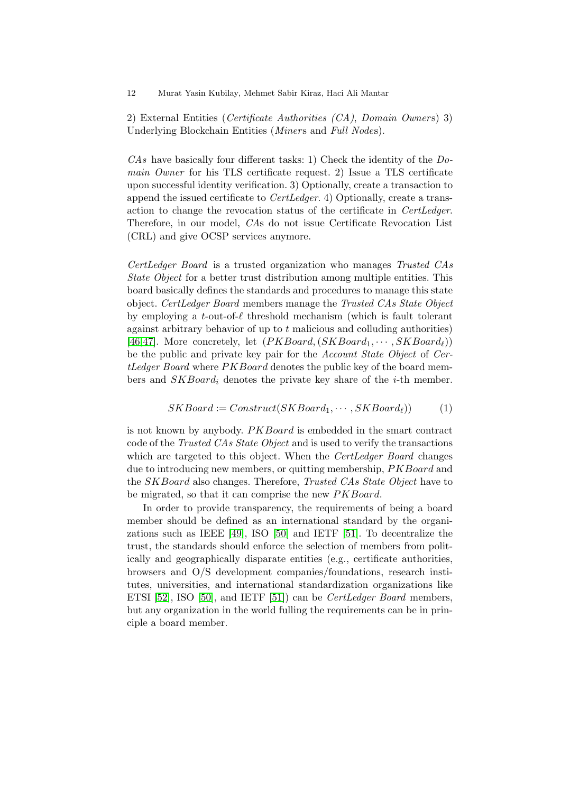2) External Entities (Certificate Authorities (CA), Domain Owners) 3) Underlying Blockchain Entities (*Miners* and *Full Nodes*).

CAs have basically four different tasks: 1) Check the identity of the Domain Owner for his TLS certificate request. 2) Issue a TLS certificate upon successful identity verification. 3) Optionally, create a transaction to append the issued certificate to CertLedger. 4) Optionally, create a transaction to change the revocation status of the certificate in CertLedger. Therefore, in our model, CAs do not issue Certificate Revocation List (CRL) and give OCSP services anymore.

CertLedger Board is a trusted organization who manages Trusted CAs State Object for a better trust distribution among multiple entities. This board basically defines the standards and procedures to manage this state object. CertLedger Board members manage the Trusted CAs State Object by employing a t-out-of- $\ell$  threshold mechanism (which is fault tolerant against arbitrary behavior of up to  $t$  malicious and colluding authorities) [\[46,](#page-40-21)[47\]](#page-41-3). More concretely, let  $(PKBoard, (SKBoard_1, \dots, SKBoard_\ell))$ be the public and private key pair for the Account State Object of CertLedger Board where PKBoard denotes the public key of the board members and  $SKBoard_i$  denotes the private key share of the *i*-th member.

# $SKBoard := Construct(SKBoad_1, \cdots, SKBoard_\ell)$  (1)

is not known by anybody. PKBoard is embedded in the smart contract code of the *Trusted CAs State Object* and is used to verify the transactions which are targeted to this object. When the *CertLedger Board* changes due to introducing new members, or quitting membership, PKBoard and the SKBoard also changes. Therefore, *Trusted CAs State Object* have to be migrated, so that it can comprise the new PKBoard.

In order to provide transparency, the requirements of being a board member should be defined as an international standard by the organizations such as IEEE [\[49\]](#page-41-5), ISO [\[50\]](#page-41-6) and IETF [\[51\]](#page-41-7). To decentralize the trust, the standards should enforce the selection of members from politically and geographically disparate entities (e.g., certificate authorities, browsers and O/S development companies/foundations, research institutes, universities, and international standardization organizations like ETSI [\[52\]](#page-41-8), ISO [\[50\]](#page-41-6), and IETF [\[51\]](#page-41-7)) can be *CertLedger Board* members, but any organization in the world fulling the requirements can be in principle a board member.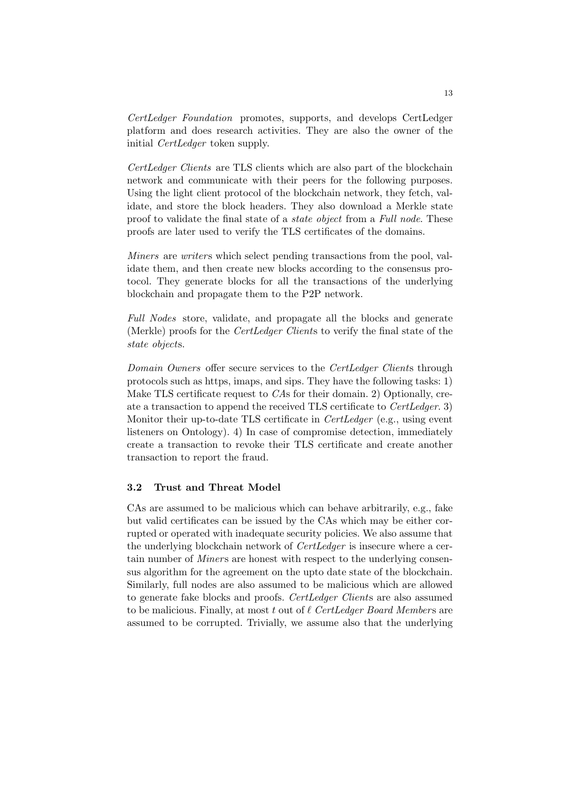CertLedger Foundation promotes, supports, and develops CertLedger platform and does research activities. They are also the owner of the initial CertLedger token supply.

CertLedger Clients are TLS clients which are also part of the blockchain network and communicate with their peers for the following purposes. Using the light client protocol of the blockchain network, they fetch, validate, and store the block headers. They also download a Merkle state proof to validate the final state of a state object from a Full node. These proofs are later used to verify the TLS certificates of the domains.

Miners are writers which select pending transactions from the pool, validate them, and then create new blocks according to the consensus protocol. They generate blocks for all the transactions of the underlying blockchain and propagate them to the P2P network.

Full Nodes store, validate, and propagate all the blocks and generate (Merkle) proofs for the *CertLedger Clients* to verify the final state of the state objects.

Domain Owners offer secure services to the CertLedger Clients through protocols such as https, imaps, and sips. They have the following tasks: 1) Make TLS certificate request to CAs for their domain. 2) Optionally, create a transaction to append the received TLS certificate to CertLedger. 3) Monitor their up-to-date TLS certificate in *CertLedger* (e.g., using event listeners on Ontology). 4) In case of compromise detection, immediately create a transaction to revoke their TLS certificate and create another transaction to report the fraud.

#### 3.2 Trust and Threat Model

CAs are assumed to be malicious which can behave arbitrarily, e.g., fake but valid certificates can be issued by the CAs which may be either corrupted or operated with inadequate security policies. We also assume that the underlying blockchain network of *CertLedger* is insecure where a certain number of *Miners* are honest with respect to the underlying consensus algorithm for the agreement on the upto date state of the blockchain. Similarly, full nodes are also assumed to be malicious which are allowed to generate fake blocks and proofs. CertLedger Clients are also assumed to be malicious. Finally, at most t out of  $\ell$  CertLedger Board Members are assumed to be corrupted. Trivially, we assume also that the underlying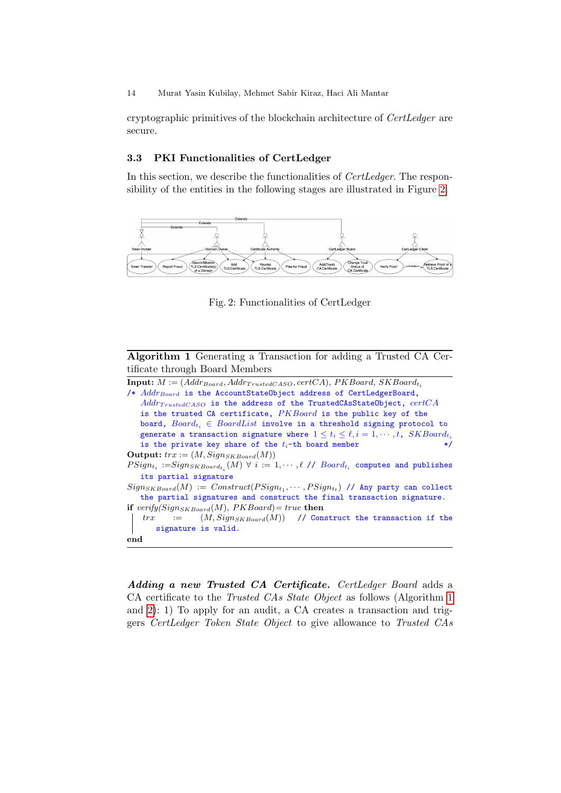cryptographic primitives of the blockchain architecture of CertLedger are secure.

# 3.3 PKI Functionalities of CertLedger

In this section, we describe the functionalities of *CertLedger*. The responsibility of the entities in the following stages are illustrated in Figure [2.](#page-13-0)

<span id="page-13-0"></span>

Fig. 2: Functionalities of CertLedger

<span id="page-13-1"></span>Algorithm 1 Generating a Transaction for adding a Trusted CA Certificate through Board Members

**Input:**  $M := (Addr_{Board}, Addr_{TrustedCASO}, certCA), PKBoard, SKBoard_{t_i})$ /\*  $Addr_{Board}$  is the AccountStateObject address of CertLedgerBoard,  $Addr_{TrustedCASO}$  is the address of the TrustedCAsStateObject,  $certCA$ is the trusted CA certificate,  $PKBoard$  is the public key of the board,  $Board_{t_i} \in BoardList$  involve in a threshold signing protocol to generate a transaction signature where  $1 \leq t_i \leq \ell, i = 1, \cdots, t$ ,  $SKBoard_{t_i}$ is the private key share of the  $t_i$ -th board member \*/\* Output:  $trx := (M, Sign_{SKBoard}(M))$  $\operatorname{PSign}_{t_i} := \operatorname{Sign}_{SKBoard_{t_i}}(M) \,\, \forall \,\, i \, := \, 1, \cdots, \ell \,\, \textit{// } \,\, \textit{Board}_{t_i} \,\, \textsf{computes and publishes}$ its partial signature  $Sign_{SKBoard}(M) \ := \ Construct(PSign_{t_1}, \cdots,PSign_{t_t})$  // Any party can collect the partial signatures and construct the final transaction signature. if verify( $Sign_{SKBoard}(M)$ ,  $PKBoard$ ) = true then  $trx = (M, Sign_{SKBoard}(M))$  // Construct the transaction if the signature is valid. end

Adding a new Trusted CA Certificate. CertLedger Board adds a CA certificate to the *Trusted CAs State Object* as follows (Algorithm [1](#page-13-1)) and [2\)](#page-14-0): 1) To apply for an audit, a CA creates a transaction and triggers CertLedger Token State Object to give allowance to Trusted CAs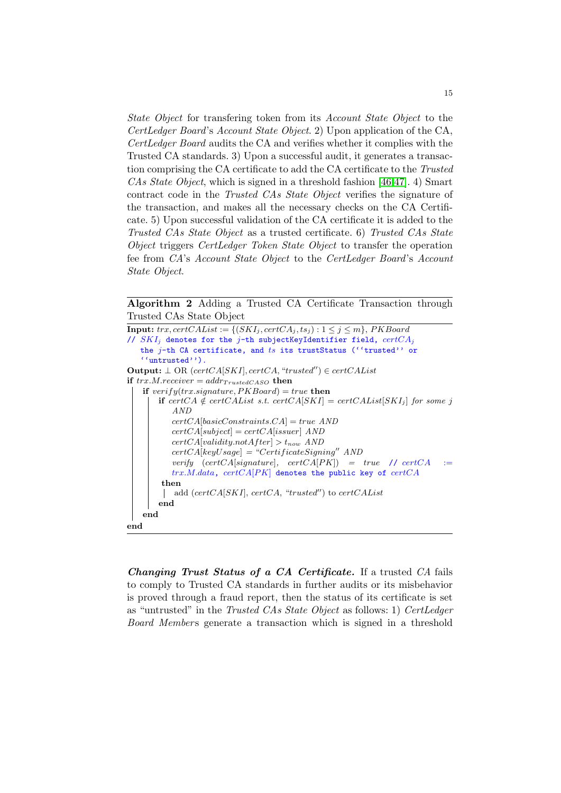State Object for transfering token from its Account State Object to the CertLedger Board's Account State Object. 2) Upon application of the CA, CertLedger Board audits the CA and verifies whether it complies with the Trusted CA standards. 3) Upon a successful audit, it generates a transaction comprising the CA certificate to add the CA certificate to the Trusted CAs State Object, which is signed in a threshold fashion [\[46](#page-40-21)[,47\]](#page-41-3). 4) Smart contract code in the Trusted CAs State Object verifies the signature of the transaction, and makes all the necessary checks on the CA Certificate. 5) Upon successful validation of the CA certificate it is added to the Trusted CAs State Object as a trusted certificate. 6) Trusted CAs State Object triggers CertLedger Token State Object to transfer the operation fee from CA's Account State Object to the CertLedger Board's Account State Object.

<span id="page-14-0"></span>Algorithm 2 Adding a Trusted CA Certificate Transaction through Trusted CAs State Object

| <b>Input:</b> $trx, certCAList := \{(SKI_j, certCA_j, ts_j) : 1 \leq j \leq m\}, PKBoard$ |
|-------------------------------------------------------------------------------------------|
| // $SKI_j$ denotes for the j-th subjectKeyIdentifier field, $certCA_j$                    |
| the <i>j</i> -th CA certificate, and ts its trustStatus ("trusted" or                     |
| $'$ untrusted'').                                                                         |
| <b>Output:</b> $\perp$ OR (certCA[SKI], certCA, "trusted") $\in$ certCAList               |
| if trx.M.receiver = $addr_{TrustedCASO}$ then                                             |
| if $verify(trx.\dot{signature}, PKBoard) = true$ then                                     |
| if certCA $\notin$ certCAList s.t. certCA[SKI] = certCAList[SKI <sub>i</sub> ] for some j |
| A N D                                                                                     |
| $certCA basicConstraints.CA  = true AND$                                                  |
| $certCA[subject] = certCA[issuer]$ AND                                                    |
| $certCA[validity.notAfter] > t_{now} AND$                                                 |
| $certCA[keyUsage] = "CertificateSigning" AND$                                             |
| verify $(certCA[signature], certCA[PK]) = true$ // $certCA$<br>$:=$                       |
| $trx.M.data$ , $certCA[PK]$ denotes the public key of $certCA$                            |
| then                                                                                      |
| add (certCA[SKI], certCA, "trusted") to certCAList                                        |
| end                                                                                       |
| end                                                                                       |
| $\hspace{15pt}\textbf{end}$                                                               |
|                                                                                           |

Changing Trust Status of a CA Certificate. If a trusted CA fails to comply to Trusted CA standards in further audits or its misbehavior is proved through a fraud report, then the status of its certificate is set as "untrusted" in the Trusted CAs State Object as follows: 1) CertLedger Board Members generate a transaction which is signed in a threshold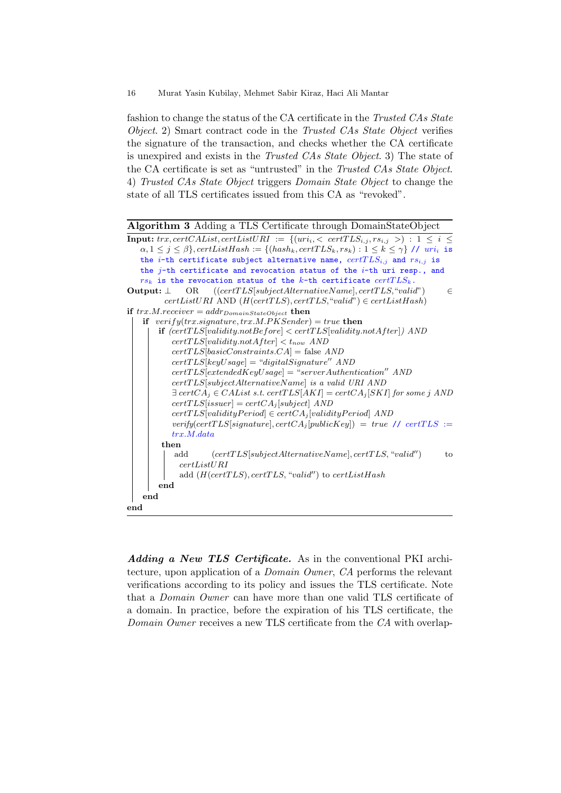fashion to change the status of the CA certificate in the Trusted CAs State Object. 2) Smart contract code in the Trusted CAs State Object verifies the signature of the transaction, and checks whether the CA certificate is unexpired and exists in the Trusted CAs State Object. 3) The state of the CA certificate is set as "untrusted" in the Trusted CAs State Object. 4) Trusted CAs State Object triggers Domain State Object to change the state of all TLS certificates issued from this CA as "revoked".

<span id="page-15-0"></span>Algorithm 3 Adding a TLS Certificate through DomainStateObject

```
\overline{\text{Input: } trx, certCAList, certListURI} := \{ (uri_i, \langle certTLS_{i,j}, rs_{i,j} \rangle) : 1 \leq i \leq j \}\alpha, 1 \leq j \leq \beta\}, certListHash := \{(hash_k, certTLS_k, rs_k) : 1 \leq k \leq \gamma\} // uri<sub>i</sub> is
   the i-th certificate subject alternative name, certTLS_{i,j} and rs_{i,j} is
   the j-th certificate and revocation status of the i-th uri resp., and
   rs_k is the revocation status of the k-th certificate certTLS_k.
Output: \perp OR ((certTLS[subjectAlternativeName], certTLS, "valid") \incertListURI AND (H(cert TLS), certTLS,"valid") \in certListHash)if trx.M. receiver = addr_{DomainStateObject} then
    if verify(trx.signature, trx.M.PKSender) = true then
        if (certTLS[validity.notBefore] < certTLS[validity.notAfter]) AND|certTLS|validity.notAfter| < t_{now} AND
           certTLS[basicConstraints.CA] = false ANDcertTLS[keyUsage] = "digitalSignature" ANDcertTLS[extendedKeyUsage] = "serverAuthentication" ANDcertT LS[subjectAlternativeName] is a valid URI AND
           \exists certCA_i \in CAList s.t. certTLS[AKI] = certCA_i[SKI] for some j AND
           certTLS[issuer] = certCA<sub>i</sub>[subject] ANDcertTLS[validityPeriod] \in certCA_i[validityPeriod] AND
           verify(certTLS[signature], certCAj[publicKey]) = true // certTLS :=
           trx.M.data
        then
            add (cert TLS|subjectAlternateName|, certTLS, "valid") to
             certListURI
             add (H(cert TLS), certTLS, "valid") to certListHash
        end
    end
end
```
Adding a New TLS Certificate. As in the conventional PKI architecture, upon application of a Domain Owner, CA performs the relevant verifications according to its policy and issues the TLS certificate. Note that a Domain Owner can have more than one valid TLS certificate of a domain. In practice, before the expiration of his TLS certificate, the Domain Owner receives a new TLS certificate from the CA with overlap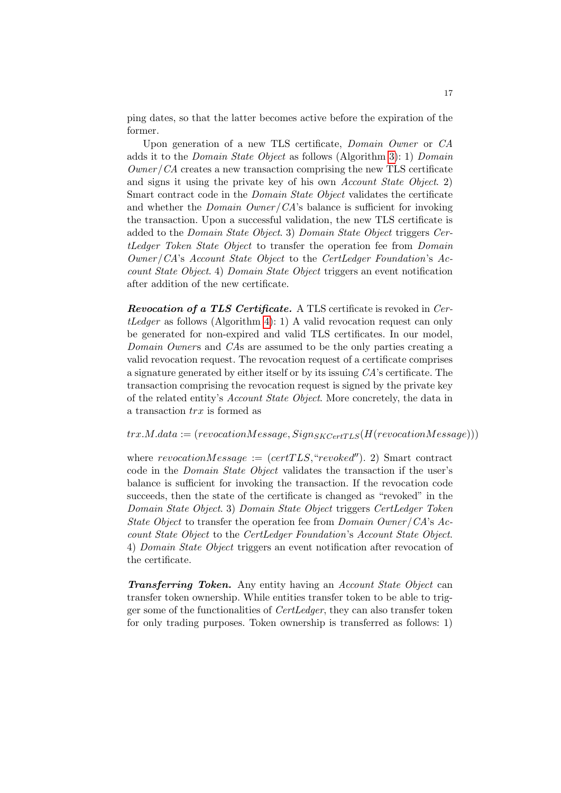ping dates, so that the latter becomes active before the expiration of the former.

Upon generation of a new TLS certificate, Domain Owner or CA adds it to the Domain State Object as follows (Algorithm [3\)](#page-15-0): 1) Domain  $Owner/CA$  creates a new transaction comprising the new TLS certificate and signs it using the private key of his own Account State Object. 2) Smart contract code in the *Domain State Object* validates the certificate and whether the *Domain Owner/CA*'s balance is sufficient for invoking the transaction. Upon a successful validation, the new TLS certificate is added to the Domain State Object. 3) Domain State Object triggers CertLedger Token State Object to transfer the operation fee from Domain Owner/CA's Account State Object to the CertLedger Foundation's Account State Object. 4) Domain State Object triggers an event notification after addition of the new certificate.

Revocation of a TLS Certificate. A TLS certificate is revoked in CertLedger as follows (Algorithm [4\)](#page-17-0): 1) A valid revocation request can only be generated for non-expired and valid TLS certificates. In our model, Domain Owners and CAs are assumed to be the only parties creating a valid revocation request. The revocation request of a certificate comprises a signature generated by either itself or by its issuing CA's certificate. The transaction comprising the revocation request is signed by the private key of the related entity's Account State Object. More concretely, the data in a transaction trx is formed as

# $trx.M.data := (revocationMessage, Sign_{SKCertTLS}(H(revocationMessage)))$

where revocationMessage := (certTLS, "revoked"). 2) Smart contract code in the Domain State Object validates the transaction if the user's balance is sufficient for invoking the transaction. If the revocation code succeeds, then the state of the certificate is changed as "revoked" in the Domain State Object. 3) Domain State Object triggers CertLedger Token State Object to transfer the operation fee from Domain Owner/CA's Account State Object to the CertLedger Foundation's Account State Object. 4) Domain State Object triggers an event notification after revocation of the certificate.

**Transferring Token.** Any entity having an Account State Object can transfer token ownership. While entities transfer token to be able to trigger some of the functionalities of *CertLedger*, they can also transfer token for only trading purposes. Token ownership is transferred as follows: 1)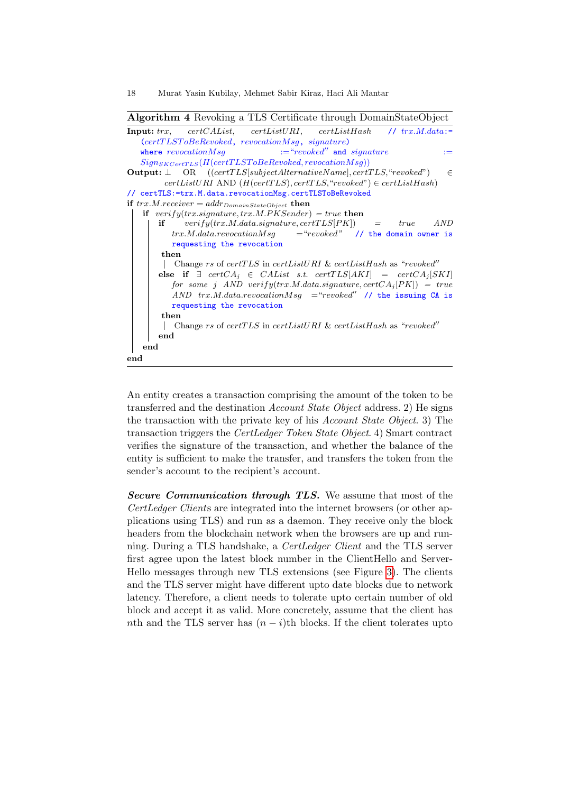<span id="page-17-0"></span>

| <b>Algorithm 4</b> Revoking a TLS Certificate through DomainStateObject                                                              |
|--------------------------------------------------------------------------------------------------------------------------------------|
| <b>Input:</b> $trx$ , $certCAList$ , $certListURI$ , $certListHash$ // $trx.M.data$ :=                                               |
| $(certTLSToBeRevoked, revocation Msg, signature)$                                                                                    |
| where $revocationMsg$ $:= "revoked"$ and $signature$                                                                                 |
| $Sign_{SKCertTLS}(H(cert T LSTo Be Revoked, revocation Mg))$                                                                         |
| <b>Output:</b> $\perp$ OR $((certTLS[subjectAlternativeName], certTLS, "revoked")$<br>$\in$                                          |
| $certListURI \,\,\text{AND} \,\,(H(certTLS), certTLS, "revoked") \in certListHash)$                                                  |
| // certTLS:=trx.M.data.revocationMsg.certTLSToBeRevoked                                                                              |
| if $trx.M. receiver = addr_{DomainStateObject}$ then                                                                                 |
| if $verify(trx.\text{signature}, trx.M.\text{PKSender}) = true$ then                                                                 |
| $verify(trx.M.data.signature, certTLS[PK])$ = $true$ AND<br>if                                                                       |
| $trx.M.data. revocationMsg$ = "revoked" // the domain owner is                                                                       |
| requesting the revocation                                                                                                            |
| then                                                                                                                                 |
| Change rs of cert $TLS$ in certListURI & certListHash as "revoked"                                                                   |
| else if $\exists$ cert $CA_i \in CAList$ s.t. cert $TLS[AKI] = certCA_i[SKI]$                                                        |
| for some j AND verify(trx.M.data.signature, cert $CA_i[PK]$ ) = true<br>AND trx.M.data.revocationMsg ="revoked" // the issuing CA is |
|                                                                                                                                      |
| requesting the revocation<br>then                                                                                                    |
| Change rs of certTLS in certListURI & certListHash as "revoked"                                                                      |
| end                                                                                                                                  |
| end                                                                                                                                  |
|                                                                                                                                      |
| end                                                                                                                                  |

An entity creates a transaction comprising the amount of the token to be transferred and the destination Account State Object address. 2) He signs the transaction with the private key of his Account State Object. 3) The transaction triggers the CertLedger Token State Object. 4) Smart contract verifies the signature of the transaction, and whether the balance of the entity is sufficient to make the transfer, and transfers the token from the sender's account to the recipient's account.

Secure Communication through TLS. We assume that most of the CertLedger Clients are integrated into the internet browsers (or other applications using TLS) and run as a daemon. They receive only the block headers from the blockchain network when the browsers are up and running. During a TLS handshake, a CertLedger Client and the TLS server first agree upon the latest block number in the ClientHello and Server-Hello messages through new TLS extensions (see Figure [3\)](#page-18-0). The clients and the TLS server might have different upto date blocks due to network latency. Therefore, a client needs to tolerate upto certain number of old block and accept it as valid. More concretely, assume that the client has nth and the TLS server has  $(n-i)$ th blocks. If the client tolerates upto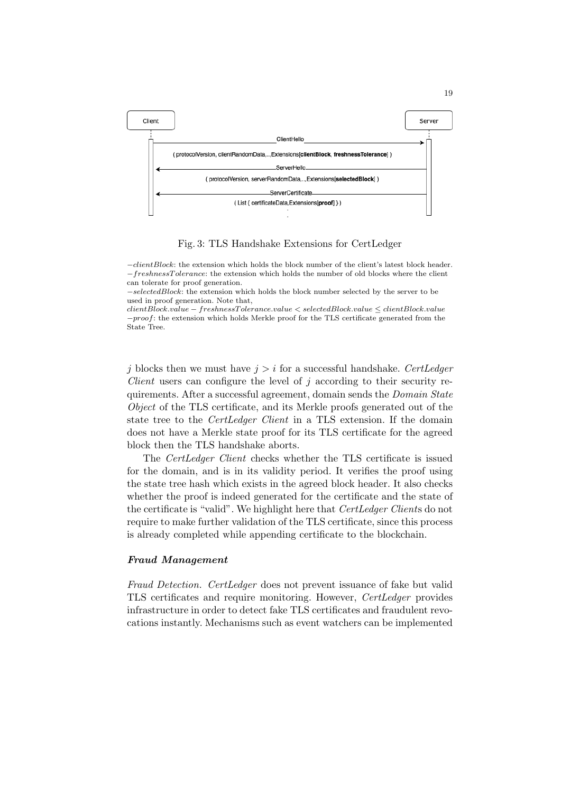<span id="page-18-0"></span>

Fig. 3: TLS Handshake Extensions for CertLedger

−clientBlock: the extension which holds the block number of the client's latest block header. −freshnessT olerance: the extension which holds the number of old blocks where the client can tolerate for proof generation.

−selectedBlock: the extension which holds the block number selected by the server to be used in proof generation. Note that,

clientBlock.value − freshnessT olerance.value < selectedBlock.value ≤ clientBlock.value −proof: the extension which holds Merkle proof for the TLS certificate generated from the State Tree.

j blocks then we must have  $j > i$  for a successful handshake. CertLedger Client users can configure the level of  $j$  according to their security requirements. After a successful agreement, domain sends the Domain State Object of the TLS certificate, and its Merkle proofs generated out of the state tree to the *CertLedger Client* in a TLS extension. If the domain does not have a Merkle state proof for its TLS certificate for the agreed block then the TLS handshake aborts.

The CertLedger Client checks whether the TLS certificate is issued for the domain, and is in its validity period. It verifies the proof using the state tree hash which exists in the agreed block header. It also checks whether the proof is indeed generated for the certificate and the state of the certificate is "valid". We highlight here that CertLedger Clients do not require to make further validation of the TLS certificate, since this process is already completed while appending certificate to the blockchain.

#### Fraud Management

Fraud Detection. CertLedger does not prevent issuance of fake but valid TLS certificates and require monitoring. However, CertLedger provides infrastructure in order to detect fake TLS certificates and fraudulent revocations instantly. Mechanisms such as event watchers can be implemented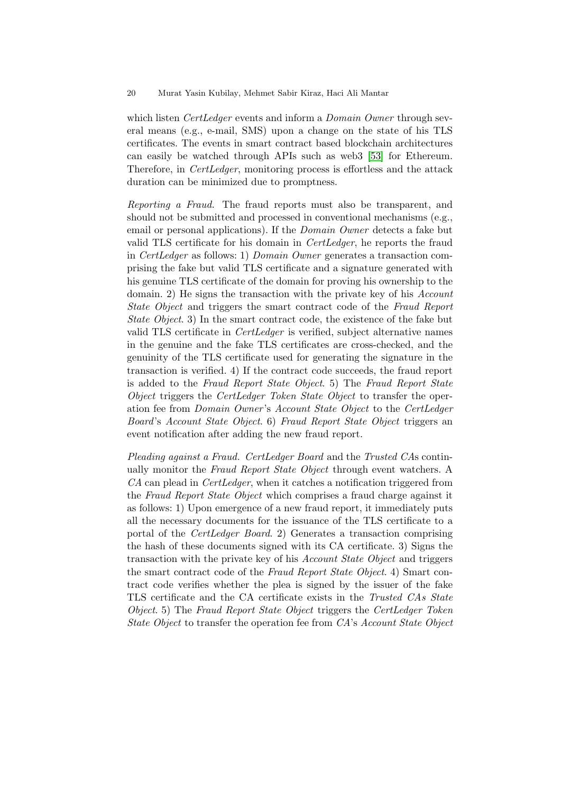which listen CertLedger events and inform a Domain Owner through several means (e.g., e-mail, SMS) upon a change on the state of his TLS certificates. The events in smart contract based blockchain architectures can easily be watched through APIs such as web3 [\[53\]](#page-41-9) for Ethereum. Therefore, in CertLedger, monitoring process is effortless and the attack duration can be minimized due to promptness.

Reporting a Fraud. The fraud reports must also be transparent, and should not be submitted and processed in conventional mechanisms (e.g., email or personal applications). If the *Domain Owner* detects a fake but valid TLS certificate for his domain in CertLedger, he reports the fraud in CertLedger as follows: 1) Domain Owner generates a transaction comprising the fake but valid TLS certificate and a signature generated with his genuine TLS certificate of the domain for proving his ownership to the domain. 2) He signs the transaction with the private key of his Account State Object and triggers the smart contract code of the Fraud Report State Object. 3) In the smart contract code, the existence of the fake but valid TLS certificate in *CertLedger* is verified, subject alternative names in the genuine and the fake TLS certificates are cross-checked, and the genuinity of the TLS certificate used for generating the signature in the transaction is verified. 4) If the contract code succeeds, the fraud report is added to the Fraud Report State Object. 5) The Fraud Report State Object triggers the CertLedger Token State Object to transfer the operation fee from Domain Owner 's Account State Object to the CertLedger Board's Account State Object. 6) Fraud Report State Object triggers an event notification after adding the new fraud report.

Pleading against a Fraud. CertLedger Board and the Trusted CAs continually monitor the Fraud Report State Object through event watchers. A CA can plead in CertLedger, when it catches a notification triggered from the Fraud Report State Object which comprises a fraud charge against it as follows: 1) Upon emergence of a new fraud report, it immediately puts all the necessary documents for the issuance of the TLS certificate to a portal of the CertLedger Board. 2) Generates a transaction comprising the hash of these documents signed with its CA certificate. 3) Signs the transaction with the private key of his Account State Object and triggers the smart contract code of the Fraud Report State Object. 4) Smart contract code verifies whether the plea is signed by the issuer of the fake TLS certificate and the CA certificate exists in the Trusted CAs State Object. 5) The Fraud Report State Object triggers the CertLedger Token State Object to transfer the operation fee from CA's Account State Object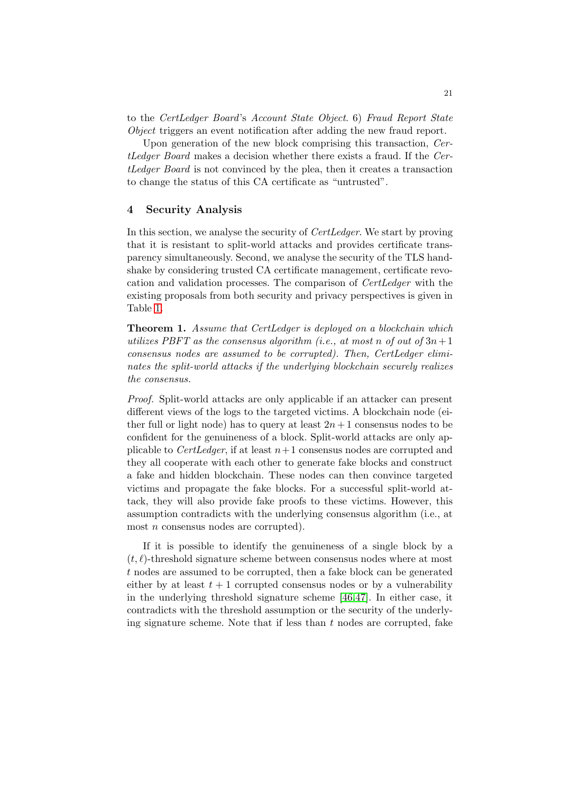to the CertLedger Board's Account State Object. 6) Fraud Report State Object triggers an event notification after adding the new fraud report.

Upon generation of the new block comprising this transaction, CertLedger Board makes a decision whether there exists a fraud. If the CertLedger Board is not convinced by the plea, then it creates a transaction to change the status of this CA certificate as "untrusted".

# <span id="page-20-0"></span>4 Security Analysis

In this section, we analyse the security of CertLedger. We start by proving that it is resistant to split-world attacks and provides certificate transparency simultaneously. Second, we analyse the security of the TLS handshake by considering trusted CA certificate management, certificate revocation and validation processes. The comparison of CertLedger with the existing proposals from both security and privacy perspectives is given in Table [1.](#page-21-0)

Theorem 1. Assume that CertLedger is deployed on a blockchain which utilizes PBFT as the consensus algorithm (i.e., at most n of out of  $3n+1$ consensus nodes are assumed to be corrupted). Then, CertLedger eliminates the split-world attacks if the underlying blockchain securely realizes the consensus.

Proof. Split-world attacks are only applicable if an attacker can present different views of the logs to the targeted victims. A blockchain node (either full or light node) has to query at least  $2n+1$  consensus nodes to be confident for the genuineness of a block. Split-world attacks are only applicable to CertLedger, if at least  $n+1$  consensus nodes are corrupted and they all cooperate with each other to generate fake blocks and construct a fake and hidden blockchain. These nodes can then convince targeted victims and propagate the fake blocks. For a successful split-world attack, they will also provide fake proofs to these victims. However, this assumption contradicts with the underlying consensus algorithm (i.e., at most  $n$  consensus nodes are corrupted).

If it is possible to identify the genuineness of a single block by a  $(t, \ell)$ -threshold signature scheme between consensus nodes where at most t nodes are assumed to be corrupted, then a fake block can be generated either by at least  $t + 1$  corrupted consensus nodes or by a vulnerability in the underlying threshold signature scheme [\[46](#page-40-21)[,47\]](#page-41-3). In either case, it contradicts with the threshold assumption or the security of the underlying signature scheme. Note that if less than  $t$  nodes are corrupted, fake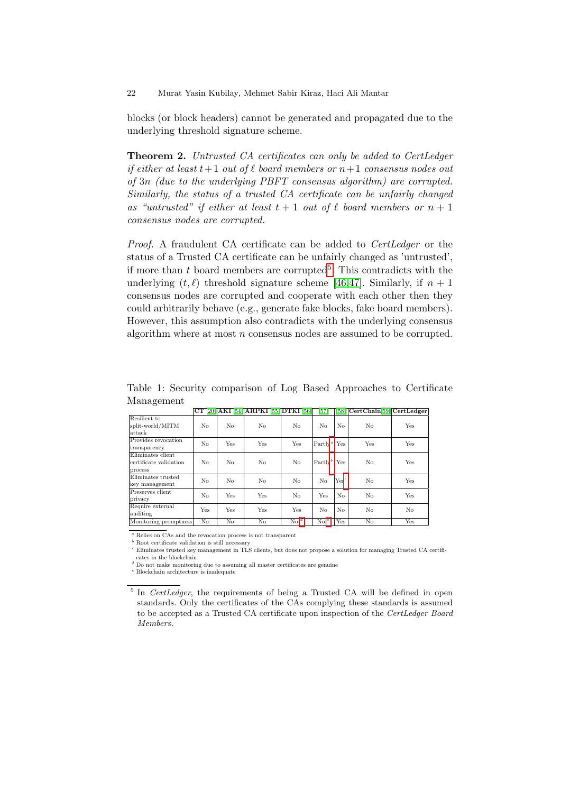blocks (or block headers) cannot be generated and propagated due to the underlying threshold signature scheme.

<span id="page-21-7"></span>**Theorem 2.** Untrusted CA certificates can only be added to CertLedger if either at least  $t + 1$  out of  $\ell$  board members or  $n+1$  consensus nodes out of 3n (due to the underlying PBFT consensus algorithm) are corrupted. Similarly, the status of a trusted CA certificate can be unfairly changed as "untrusted" if either at least  $t + 1$  out of  $\ell$  board members or  $n + 1$ consensus nodes are corrupted.

Proof. A fraudulent CA certificate can be added to *CertLedger* or the status of a Trusted CA certificate can be unfairly changed as 'untrusted', if more than  $t$  board members are corrupted<sup>[5](#page-21-1)</sup>. This contradicts with the underlying  $(t, \ell)$  threshold signature scheme [\[46,](#page-40-21)[47\]](#page-41-3). Similarly, if  $n + 1$ consensus nodes are corrupted and cooperate with each other then they could arbitrarily behave (e.g., generate fake blocks, fake board members). However, this assumption also contradicts with the underlying consensus algorithm where at most  $n$  consensus nodes are assumed to be corrupted.

|                        |                |            | CT [20] AKI [54] ARPKI [55] DTKI [56] |                        | $\sqrt{57}$         | [58]             | $CertChain[59]$ $CertLedgeer$ |     |
|------------------------|----------------|------------|---------------------------------------|------------------------|---------------------|------------------|-------------------------------|-----|
| Resilient to           |                |            |                                       |                        |                     |                  |                               |     |
| split-world/MITM       | No             | No         | No.                                   | No                     | No                  | No               | N <sub>0</sub>                | Yes |
| attack                 |                |            |                                       |                        |                     |                  |                               |     |
| Provides revocation    | No             | Yes        | Yes                                   | Yes                    | Partly <sup>a</sup> | Yes              | Yes                           | Yes |
| transparency           |                |            |                                       |                        |                     |                  |                               |     |
| Eliminates client      |                |            |                                       |                        |                     |                  |                               |     |
| certificate validation | No             | No         | No.                                   | No                     | $\text{Partly}^b$   | Yes              | No.                           | Yes |
| process                |                |            |                                       |                        |                     |                  |                               |     |
| Eliminates trusted     | N <sub>0</sub> | No         | No.                                   | N <sub>o</sub>         | No                  | Yes <sup>c</sup> | N <sub>0</sub>                | Yes |
| key management         |                |            |                                       |                        |                     |                  |                               |     |
| Preserves client       | No             | <b>Yes</b> | Yes                                   | N <sub>0</sub>         | Yes                 | N <sub>o</sub>   | No                            | Yes |
| privacy                |                |            |                                       |                        |                     |                  |                               |     |
| Require external       | Yes            | <b>Yes</b> | Yes                                   | Yes                    | No                  | N <sub>0</sub>   | N <sub>0</sub>                | No. |
| auditing               |                |            |                                       |                        |                     |                  |                               |     |
| Monitoring promptness  | No             | No         | No                                    | $\overline{N\alpha}^d$ | No $e$              | Yes              | N <sub>o</sub>                | Yes |

<span id="page-21-0"></span>Table 1: Security comparison of Log Based Approaches to Certificate Management

<span id="page-21-2"></span> $a$  Relies on CAs and the revocation process is not transparent

<span id="page-21-4"></span><span id="page-21-3"></span> $\stackrel{b}{\text{}}$  Root certificate validation is still necessary <sup>c</sup> Eliminates trusted key management in TLS clients, but does not propose a solution for managing Trusted CA certificates in the blockchain

<span id="page-21-6"></span><span id="page-21-5"></span> $\Box$  Do not make monitoring due to assuming all master certificates are genuine

 $e^e$  Blockchain architecture is inadequate

<span id="page-21-1"></span><sup>&</sup>lt;sup>5</sup> In CertLedger, the requirements of being a Trusted CA will be defined in open standards. Only the certificates of the CAs complying these standards is assumed to be accepted as a Trusted CA certificate upon inspection of the CertLedger Board Members.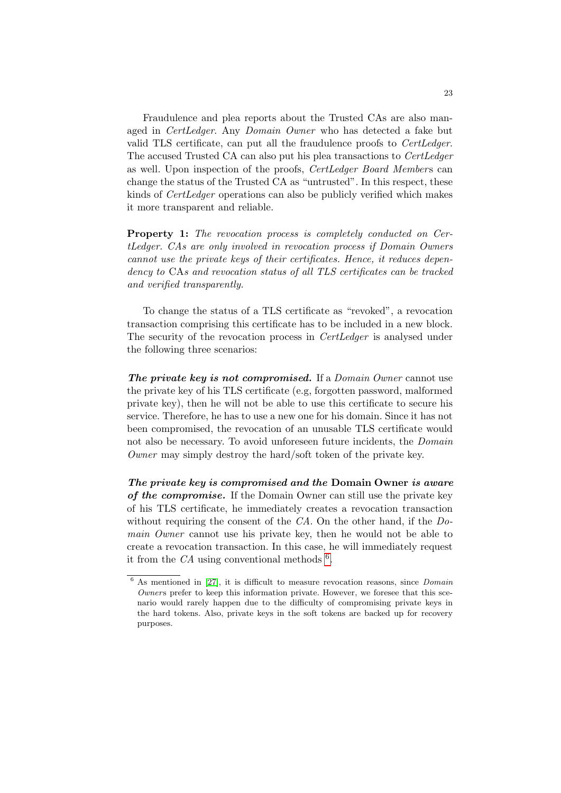Fraudulence and plea reports about the Trusted CAs are also managed in CertLedger. Any Domain Owner who has detected a fake but valid TLS certificate, can put all the fraudulence proofs to CertLedger. The accused Trusted CA can also put his plea transactions to CertLedger as well. Upon inspection of the proofs, CertLedger Board Members can change the status of the Trusted CA as "untrusted". In this respect, these kinds of CertLedger operations can also be publicly verified which makes it more transparent and reliable.

**Property 1:** The revocation process is completely conducted on CertLedger. CAs are only involved in revocation process if Domain Owners cannot use the private keys of their certificates. Hence, it reduces dependency to CAs and revocation status of all TLS certificates can be tracked and verified transparently.

To change the status of a TLS certificate as "revoked", a revocation transaction comprising this certificate has to be included in a new block. The security of the revocation process in *CertLedger* is analysed under the following three scenarios:

The private key is not compromised. If a Domain Owner cannot use the private key of his TLS certificate (e.g, forgotten password, malformed private key), then he will not be able to use this certificate to secure his service. Therefore, he has to use a new one for his domain. Since it has not been compromised, the revocation of an unusable TLS certificate would not also be necessary. To avoid unforeseen future incidents, the Domain Owner may simply destroy the hard/soft token of the private key.

The private key is compromised and the Domain Owner is aware of the compromise. If the Domain Owner can still use the private key of his TLS certificate, he immediately creates a revocation transaction without requiring the consent of the CA. On the other hand, if the Domain Owner cannot use his private key, then he would not be able to create a revocation transaction. In this case, he will immediately request it from the  $CA$  using conventional methods  $6$ .

<span id="page-22-0"></span> $\overline{6}$  As mentioned in [\[27\]](#page-40-2), it is difficult to measure revocation reasons, since *Domain* Owners prefer to keep this information private. However, we foresee that this scenario would rarely happen due to the difficulty of compromising private keys in the hard tokens. Also, private keys in the soft tokens are backed up for recovery purposes.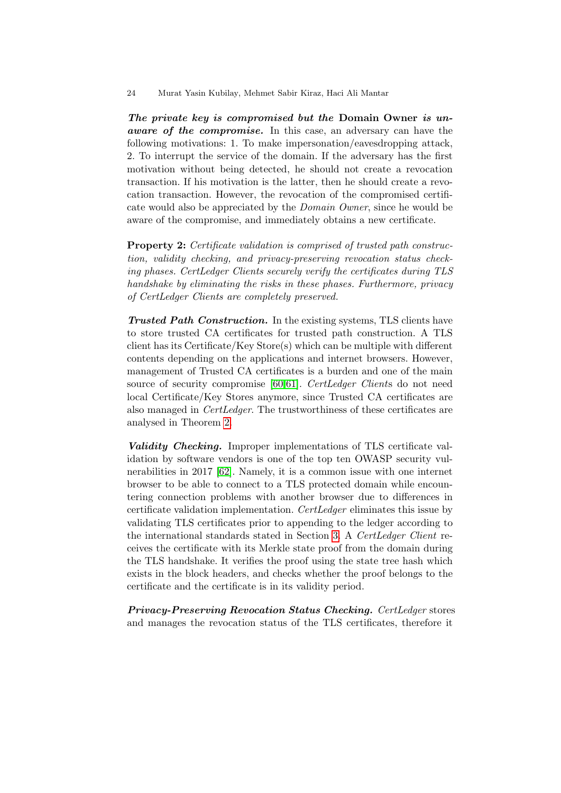The private key is compromised but the Domain Owner is unaware of the compromise. In this case, an adversary can have the following motivations: 1. To make impersonation/eavesdropping attack, 2. To interrupt the service of the domain. If the adversary has the first motivation without being detected, he should not create a revocation transaction. If his motivation is the latter, then he should create a revocation transaction. However, the revocation of the compromised certificate would also be appreciated by the Domain Owner, since he would be aware of the compromise, and immediately obtains a new certificate.

Property 2: Certificate validation is comprised of trusted path construction, validity checking, and privacy-preserving revocation status checking phases. CertLedger Clients securely verify the certificates during TLS handshake by eliminating the risks in these phases. Furthermore, privacy of CertLedger Clients are completely preserved.

Trusted Path Construction. In the existing systems, TLS clients have to store trusted CA certificates for trusted path construction. A TLS client has its Certificate/Key Store(s) which can be multiple with different contents depending on the applications and internet browsers. However, management of Trusted CA certificates is a burden and one of the main source of security compromise [\[60,](#page-41-13)[61\]](#page-41-14). CertLedger Clients do not need local Certificate/Key Stores anymore, since Trusted CA certificates are also managed in CertLedger. The trustworthiness of these certificates are analysed in Theorem [2.](#page-21-7)

Validity Checking. Improper implementations of TLS certificate validation by software vendors is one of the top ten OWASP security vulnerabilities in 2017 [\[62\]](#page-41-15). Namely, it is a common issue with one internet browser to be able to connect to a TLS protected domain while encountering connection problems with another browser due to differences in certificate validation implementation. CertLedger eliminates this issue by validating TLS certificates prior to appending to the ledger according to the international standards stated in Section [3.](#page-9-0) A CertLedger Client receives the certificate with its Merkle state proof from the domain during the TLS handshake. It verifies the proof using the state tree hash which exists in the block headers, and checks whether the proof belongs to the certificate and the certificate is in its validity period.

Privacy-Preserving Revocation Status Checking. CertLedger stores and manages the revocation status of the TLS certificates, therefore it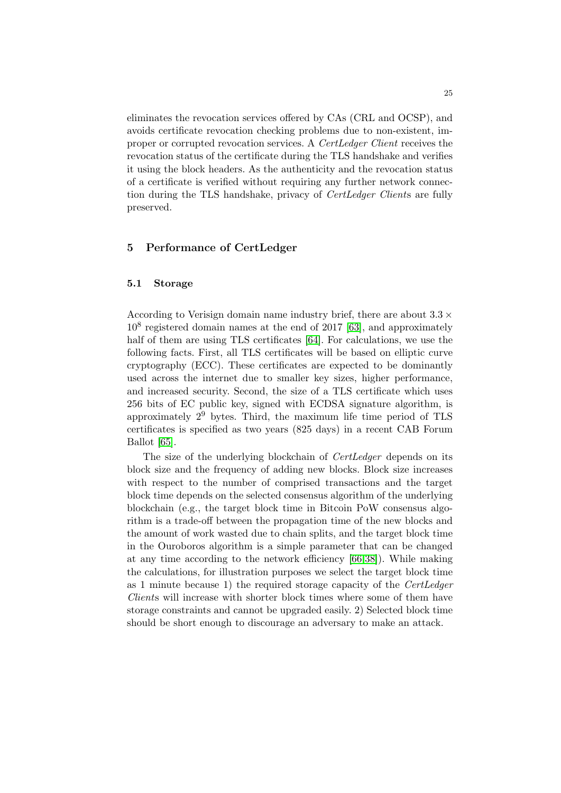eliminates the revocation services offered by CAs (CRL and OCSP), and avoids certificate revocation checking problems due to non-existent, improper or corrupted revocation services. A CertLedger Client receives the revocation status of the certificate during the TLS handshake and verifies it using the block headers. As the authenticity and the revocation status of a certificate is verified without requiring any further network connection during the TLS handshake, privacy of CertLedger Clients are fully preserved.

# <span id="page-24-0"></span>5 Performance of CertLedger

#### 5.1 Storage

According to Verisign domain name industry brief, there are about  $3.3 \times$ 10<sup>8</sup> registered domain names at the end of 2017 [\[63\]](#page-41-16), and approximately half of them are using TLS certificates [\[64\]](#page-41-17). For calculations, we use the following facts. First, all TLS certificates will be based on elliptic curve cryptography (ECC). These certificates are expected to be dominantly used across the internet due to smaller key sizes, higher performance, and increased security. Second, the size of a TLS certificate which uses 256 bits of EC public key, signed with ECDSA signature algorithm, is approximately  $2^9$  bytes. Third, the maximum life time period of TLS certificates is specified as two years (825 days) in a recent CAB Forum Ballot [\[65\]](#page-41-18).

The size of the underlying blockchain of *CertLedger* depends on its block size and the frequency of adding new blocks. Block size increases with respect to the number of comprised transactions and the target block time depends on the selected consensus algorithm of the underlying blockchain (e.g., the target block time in Bitcoin PoW consensus algorithm is a trade-off between the propagation time of the new blocks and the amount of work wasted due to chain splits, and the target block time in the Ouroboros algorithm is a simple parameter that can be changed at any time according to the network efficiency [\[66](#page-41-19)[,38\]](#page-40-13)). While making the calculations, for illustration purposes we select the target block time as 1 minute because 1) the required storage capacity of the CertLedger Clients will increase with shorter block times where some of them have storage constraints and cannot be upgraded easily. 2) Selected block time should be short enough to discourage an adversary to make an attack.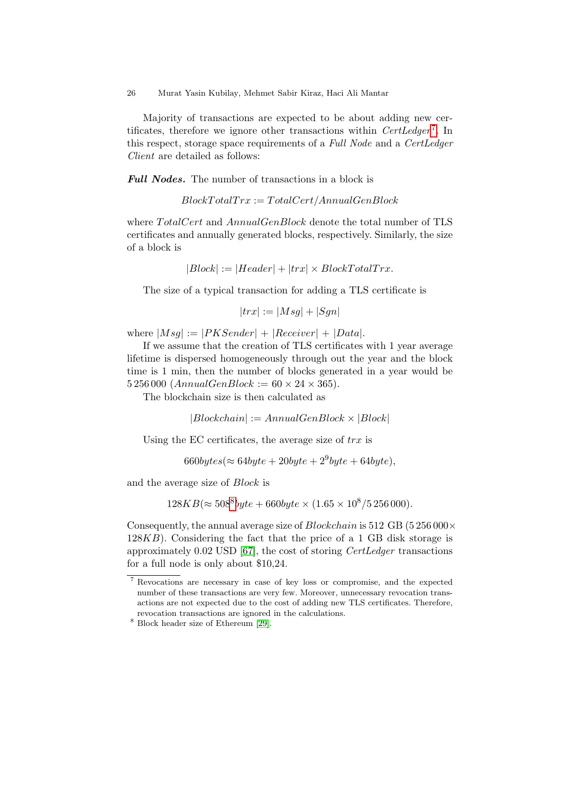Majority of transactions are expected to be about adding new certificates, therefore we ignore other transactions within  $CertLeader^7$  $CertLeader^7$ . In this respect, storage space requirements of a Full Node and a CertLedger Client are detailed as follows:

Full Nodes. The number of transactions in a block is

 $BlockTotal Tr x := TotalCert/AnnualGenBlock$ 

where  $TotalCert$  and  $AnnualGenBlock$  denote the total number of TLS certificates and annually generated blocks, respectively. Similarly, the size of a block is

$$
|Block| := |Header| + |trx| \times BlockTotalTrx.
$$

The size of a typical transaction for adding a TLS certificate is

$$
|trx| := |Msg| + |Sgn|
$$

where  $|Msg| := |PKSender| + |Receiver| + |Data|$ .

If we assume that the creation of TLS certificates with 1 year average lifetime is dispersed homogeneously through out the year and the block time is 1 min, then the number of blocks generated in a year would be 5 256 000 (*AnnualGenBlock* :=  $60 \times 24 \times 365$ ).

The blockchain size is then calculated as

 $|Blockchain| := AnnualGenBlock \times |Block|$ 

Using the EC certificates, the average size of  $trx$  is

 $660 bytes (\approx 64 byte + 20 byte + 2<sup>9</sup> byte + 64 byte),$ 

and the average size of Block is

 $128KB \approx 508^8 byte + 660byte \times (1.65 \times 10^8 / 5256000).$  $128KB \approx 508^8 byte + 660byte \times (1.65 \times 10^8 / 5256000).$  $128KB \approx 508^8 byte + 660byte \times (1.65 \times 10^8 / 5256000).$ 

Consequently, the annual average size of  $Blockchain$  is 512 GB (5 256 000 $\times$  $128KB$ ). Considering the fact that the price of a 1 GB disk storage is approximately 0.02 USD [\[67\]](#page-41-20), the cost of storing CertLedger transactions for a full node is only about \$10,24.

<span id="page-25-0"></span><sup>7</sup> Revocations are necessary in case of key loss or compromise, and the expected number of these transactions are very few. Moreover, unnecessary revocation transactions are not expected due to the cost of adding new TLS certificates. Therefore, revocation transactions are ignored in the calculations.

<span id="page-25-1"></span><sup>8</sup> Block header size of Ethereum [\[29\]](#page-40-4).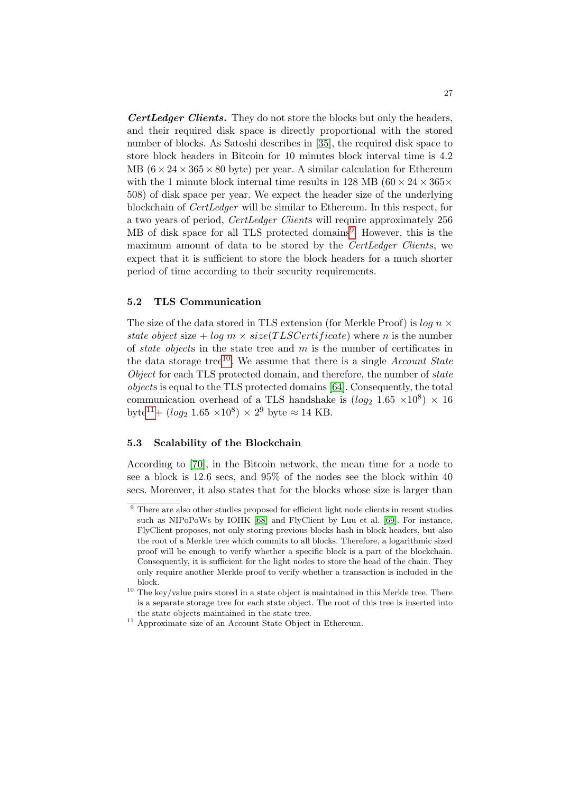CertLedger Clients. They do not store the blocks but only the headers, and their required disk space is directly proportional with the stored number of blocks. As Satoshi describes in [\[35\]](#page-40-10), the required disk space to store block headers in Bitcoin for 10 minutes block interval time is 4.2 MB  $(6 \times 24 \times 365 \times 80$  byte) per year. A similar calculation for Ethereum with the 1 minute block internal time results in 128 MB ( $60 \times 24 \times 365 \times$ 508) of disk space per year. We expect the header size of the underlying blockchain of CertLedger will be similar to Ethereum. In this respect, for a two years of period, CertLedger Clients will require approximately 256 MB of disk space for all TLS protected domains<sup>[9](#page-26-0)</sup>. However, this is the maximum amount of data to be stored by the CertLedger Clients, we expect that it is sufficient to store the block headers for a much shorter period of time according to their security requirements.

#### <span id="page-26-3"></span>5.2 TLS Communication

The size of the data stored in TLS extension (for Merkle Proof) is  $\log n \times$ state object size + log  $m \times size(TLSCerti \, fixed)$  where n is the number of *state objects* in the state tree and  $m$  is the number of certificates in the data storage tree<sup>[10](#page-26-1)</sup>. We assume that there is a single Account State Object for each TLS protected domain, and therefore, the number of state objects is equal to the TLS protected domains [\[64\]](#page-41-17). Consequently, the total communication overhead of a TLS handshake is  $(log_2 1.65 \times 10^8) \times 16$ byte<sup>[11](#page-26-2)</sup>+ (log<sub>2</sub> 1.65  $\times 10^8$ )  $\times 2^9$  byte  $\approx 14$  KB.

#### 5.3 Scalability of the Blockchain

According to [\[70\]](#page-42-0), in the Bitcoin network, the mean time for a node to see a block is 12.6 secs, and 95% of the nodes see the block within 40 secs. Moreover, it also states that for the blocks whose size is larger than

<span id="page-26-0"></span><sup>&</sup>lt;sup>9</sup> There are also other studies proposed for efficient light node clients in recent studies such as NIPoPoWs by IOHK [\[68\]](#page-42-1) and FlyClient by Luu et al. [\[69\]](#page-42-2). For instance, FlyClient proposes, not only storing previous blocks hash in block headers, but also the root of a Merkle tree which commits to all blocks. Therefore, a logarithmic sized proof will be enough to verify whether a specific block is a part of the blockchain. Consequently, it is sufficient for the light nodes to store the head of the chain. They only require another Merkle proof to verify whether a transaction is included in the block.

<span id="page-26-1"></span> $10$  The key/value pairs stored in a state object is maintained in this Merkle tree. There is a separate storage tree for each state object. The root of this tree is inserted into the state objects maintained in the state tree.

<span id="page-26-2"></span><sup>&</sup>lt;sup>11</sup> Approximate size of an Account State Object in Ethereum.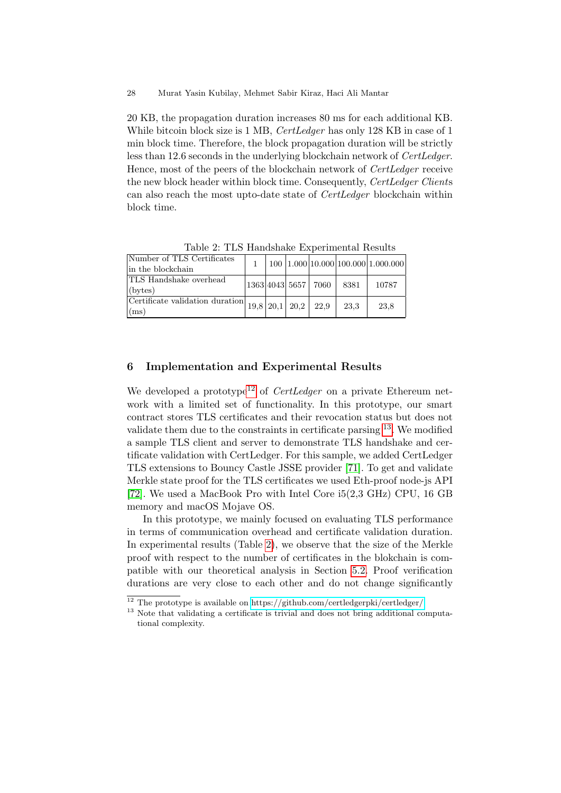20 KB, the propagation duration increases 80 ms for each additional KB. While bitcoin block size is 1 MB, CertLedger has only 128 KB in case of 1 min block time. Therefore, the block propagation duration will be strictly less than 12.6 seconds in the underlying blockchain network of CertLedger. Hence, most of the peers of the blockchain network of CertLedger receive the new block header within block time. Consequently, CertLedger Clients can also reach the most upto-date state of CertLedger blockchain within block time.

<span id="page-27-3"></span>

| Number of TLS Certificates<br>in the blockchain                                               |  |                     |      | 100 1.000 10.000 100.000 1.000.000 |
|-----------------------------------------------------------------------------------------------|--|---------------------|------|------------------------------------|
| <b>TLS</b> Handshake overhead<br>(bytes)                                                      |  | 1363 4043 5657 7060 | 8381 | 10787                              |
| $ \overline{\text{Certificance~validation~duration}} _{19,8} _{20,1} _{20,2} _{22,9}$<br>(ms) |  |                     | 23.3 | 23.8                               |

Table 2: TLS Handshake Experimental Results

# <span id="page-27-0"></span>6 Implementation and Experimental Results

We developed a prototype<sup>[12](#page-27-1)</sup> of *CertLedger* on a private Ethereum network with a limited set of functionality. In this prototype, our smart contract stores TLS certificates and their revocation status but does not validate them due to the constraints in certificate parsing [13](#page-27-2). We modified a sample TLS client and server to demonstrate TLS handshake and certificate validation with CertLedger. For this sample, we added CertLedger TLS extensions to Bouncy Castle JSSE provider [\[71\]](#page-42-3). To get and validate Merkle state proof for the TLS certificates we used Eth-proof node-js API [\[72\]](#page-42-4). We used a MacBook Pro with Intel Core i5(2,3 GHz) CPU, 16 GB memory and macOS Mojave OS.

In this prototype, we mainly focused on evaluating TLS performance in terms of communication overhead and certificate validation duration. In experimental results (Table [2\)](#page-27-3), we observe that the size of the Merkle proof with respect to the number of certificates in the blokchain is compatible with our theoretical analysis in Section [5.2.](#page-26-3) Proof verification durations are very close to each other and do not change significantly

<span id="page-27-1"></span> $\frac{12}{12}$  The prototype is available on [https://github.com/certledgerpki/certledger/.](https://github.com/certledgerpki/certledger/)

<span id="page-27-2"></span><sup>&</sup>lt;sup>13</sup> Note that validating a certificate is trivial and does not bring additional computational complexity.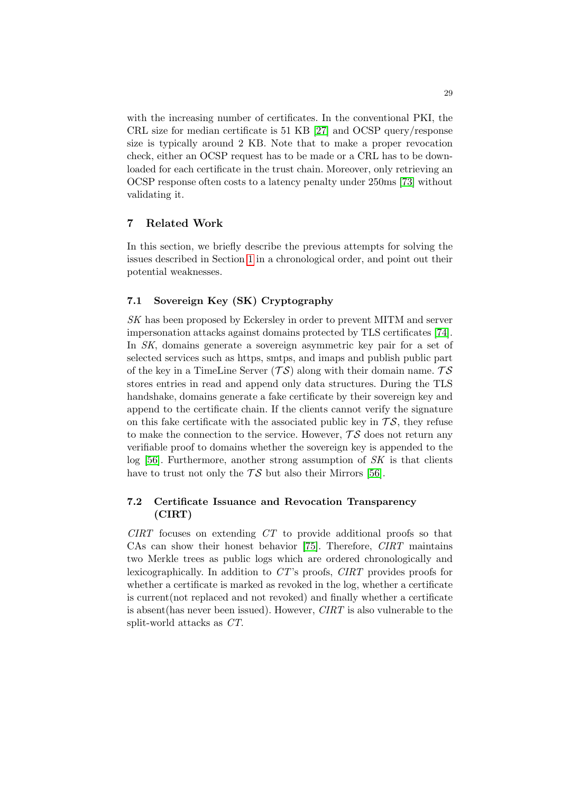with the increasing number of certificates. In the conventional PKI, the CRL size for median certificate is 51 KB [\[27\]](#page-40-2) and OCSP query/response size is typically around 2 KB. Note that to make a proper revocation check, either an OCSP request has to be made or a CRL has to be downloaded for each certificate in the trust chain. Moreover, only retrieving an OCSP response often costs to a latency penalty under 250ms [\[73\]](#page-42-5) without validating it.

# <span id="page-28-0"></span>7 Related Work

In this section, we briefly describe the previous attempts for solving the issues described in Section [1](#page-0-0) in a chronological order, and point out their potential weaknesses.

#### 7.1 Sovereign Key (SK) Cryptography

SK has been proposed by Eckersley in order to prevent MITM and server impersonation attacks against domains protected by TLS certificates [\[74\]](#page-42-6). In SK, domains generate a sovereign asymmetric key pair for a set of selected services such as https, smtps, and imaps and publish public part of the key in a TimeLine Server  $(\mathcal{T}\mathcal{S})$  along with their domain name.  $\mathcal{T}\mathcal{S}$ stores entries in read and append only data structures. During the TLS handshake, domains generate a fake certificate by their sovereign key and append to the certificate chain. If the clients cannot verify the signature on this fake certificate with the associated public key in  $\mathcal{TS}$ , they refuse to make the connection to the service. However,  $\mathcal{TS}$  does not return any verifiable proof to domains whether the sovereign key is appended to the  $\log$  [\[56\]](#page-41-2). Furthermore, another strong assumption of SK is that clients have to trust not only the  $TS$  but also their Mirrors [\[56\]](#page-41-2).

# 7.2 Certificate Issuance and Revocation Transparency (CIRT)

CIRT focuses on extending CT to provide additional proofs so that CAs can show their honest behavior [\[75\]](#page-42-7). Therefore, CIRT maintains two Merkle trees as public logs which are ordered chronologically and lexicographically. In addition to CT's proofs, CIRT provides proofs for whether a certificate is marked as revoked in the log, whether a certificate is current(not replaced and not revoked) and finally whether a certificate is absent(has never been issued). However, CIRT is also vulnerable to the split-world attacks as CT.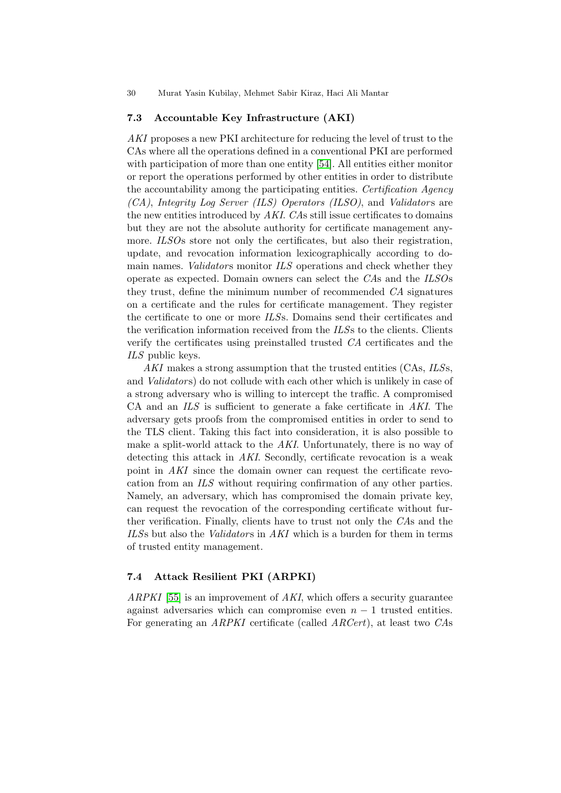#### 7.3 Accountable Key Infrastructure (AKI)

AKI proposes a new PKI architecture for reducing the level of trust to the CAs where all the operations defined in a conventional PKI are performed with participation of more than one entity [\[54\]](#page-41-0). All entities either monitor or report the operations performed by other entities in order to distribute the accountability among the participating entities. Certification Agency  $(CA)$ , Integrity Log Server (ILS) Operators (ILSO), and Validators are the new entities introduced by  $AKI$ . CAs still issue certificates to domains but they are not the absolute authority for certificate management anymore. ILSOs store not only the certificates, but also their registration, update, and revocation information lexicographically according to domain names. *Validators* monitor *ILS* operations and check whether they operate as expected. Domain owners can select the CAs and the ILSOs they trust, define the minimum number of recommended CA signatures on a certificate and the rules for certificate management. They register the certificate to one or more ILSs. Domains send their certificates and the verification information received from the ILSs to the clients. Clients verify the certificates using preinstalled trusted CA certificates and the ILS public keys.

AKI makes a strong assumption that the trusted entities (CAs, ILSs, and *Validators*) do not collude with each other which is unlikely in case of a strong adversary who is willing to intercept the traffic. A compromised CA and an ILS is sufficient to generate a fake certificate in AKI. The adversary gets proofs from the compromised entities in order to send to the TLS client. Taking this fact into consideration, it is also possible to make a split-world attack to the AKI. Unfortunately, there is no way of detecting this attack in AKI. Secondly, certificate revocation is a weak point in AKI since the domain owner can request the certificate revocation from an ILS without requiring confirmation of any other parties. Namely, an adversary, which has compromised the domain private key, can request the revocation of the corresponding certificate without further verification. Finally, clients have to trust not only the CAs and the  $ILS$ s but also the *Validators* in  $AKI$  which is a burden for them in terms of trusted entity management.

## 7.4 Attack Resilient PKI (ARPKI)

ARPKI [\[55\]](#page-41-1) is an improvement of AKI, which offers a security guarantee against adversaries which can compromise even  $n - 1$  trusted entities. For generating an ARPKI certificate (called ARCert), at least two CAs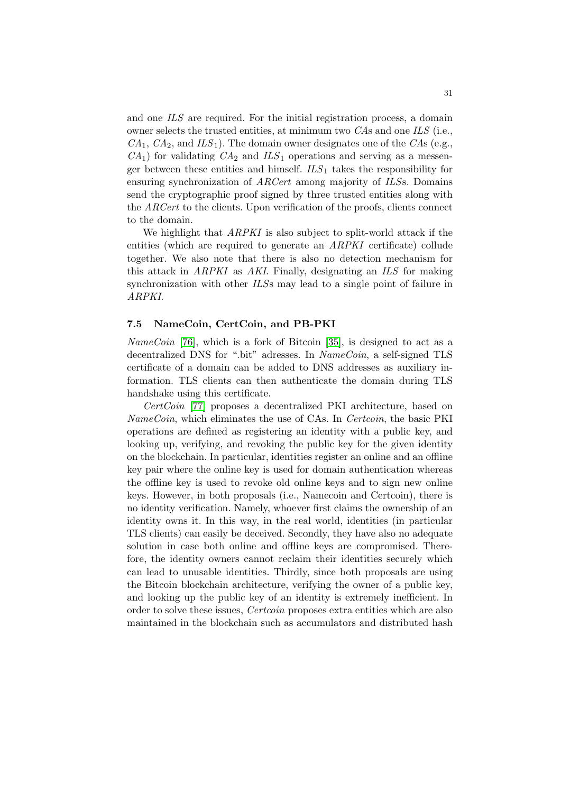and one ILS are required. For the initial registration process, a domain owner selects the trusted entities, at minimum two CAs and one ILS (i.e.,  $CA_1$ ,  $CA_2$ , and  $ILS_1$ ). The domain owner designates one of the CAs (e.g.,  $CA<sub>1</sub>$ ) for validating  $CA<sub>2</sub>$  and  $ILS<sub>1</sub>$  operations and serving as a messenger between these entities and himself.  $ILS<sub>1</sub>$  takes the responsibility for ensuring synchronization of ARCert among majority of ILSs. Domains send the cryptographic proof signed by three trusted entities along with the ARCert to the clients. Upon verification of the proofs, clients connect to the domain.

We highlight that *ARPKI* is also subject to split-world attack if the entities (which are required to generate an ARPKI certificate) collude together. We also note that there is also no detection mechanism for this attack in ARPKI as AKI. Finally, designating an ILS for making synchronization with other *ILSs* may lead to a single point of failure in ARPKI.

#### 7.5 NameCoin, CertCoin, and PB-PKI

 $NameCoin$  [\[76\]](#page-42-8), which is a fork of Bitcoin [\[35\]](#page-40-10), is designed to act as a decentralized DNS for ".bit" adresses. In NameCoin, a self-signed TLS certificate of a domain can be added to DNS addresses as auxiliary information. TLS clients can then authenticate the domain during TLS handshake using this certificate.

CertCoin [\[77\]](#page-42-9) proposes a decentralized PKI architecture, based on NameCoin, which eliminates the use of CAs. In Certcoin, the basic PKI operations are defined as registering an identity with a public key, and looking up, verifying, and revoking the public key for the given identity on the blockchain. In particular, identities register an online and an offline key pair where the online key is used for domain authentication whereas the offline key is used to revoke old online keys and to sign new online keys. However, in both proposals (i.e., Namecoin and Certcoin), there is no identity verification. Namely, whoever first claims the ownership of an identity owns it. In this way, in the real world, identities (in particular TLS clients) can easily be deceived. Secondly, they have also no adequate solution in case both online and offline keys are compromised. Therefore, the identity owners cannot reclaim their identities securely which can lead to unusable identities. Thirdly, since both proposals are using the Bitcoin blockchain architecture, verifying the owner of a public key, and looking up the public key of an identity is extremely inefficient. In order to solve these issues, Certcoin proposes extra entities which are also maintained in the blockchain such as accumulators and distributed hash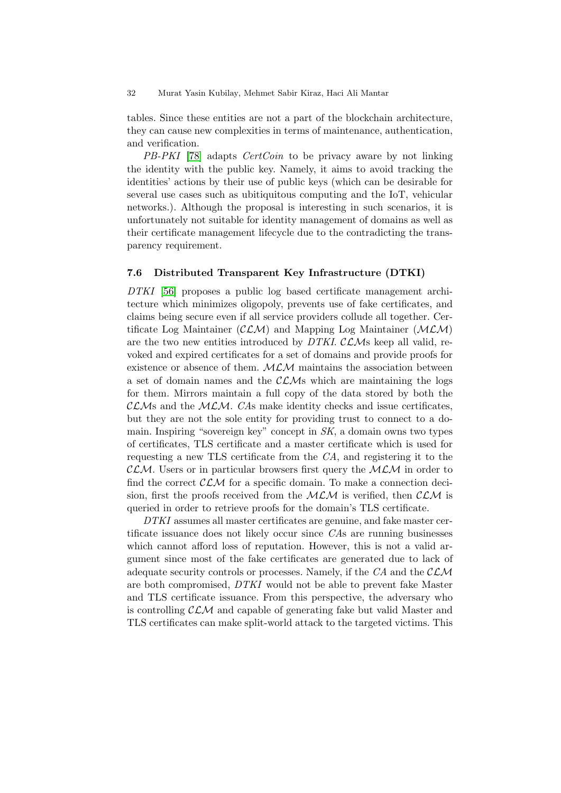tables. Since these entities are not a part of the blockchain architecture, they can cause new complexities in terms of maintenance, authentication, and verification.

PB-PKI [\[78\]](#page-42-10) adapts CertCoin to be privacy aware by not linking the identity with the public key. Namely, it aims to avoid tracking the identities' actions by their use of public keys (which can be desirable for several use cases such as ubitiquitous computing and the IoT, vehicular networks.). Although the proposal is interesting in such scenarios, it is unfortunately not suitable for identity management of domains as well as their certificate management lifecycle due to the contradicting the transparency requirement.

### 7.6 Distributed Transparent Key Infrastructure (DTKI)

DTKI [\[56\]](#page-41-2) proposes a public log based certificate management architecture which minimizes oligopoly, prevents use of fake certificates, and claims being secure even if all service providers collude all together. Certificate Log Maintainer ( $\mathcal{CLM}$ ) and Mapping Log Maintainer ( $\mathcal{MLM}$ ) are the two new entities introduced by  $DTKI$ .  $CLMs$  keep all valid, revoked and expired certificates for a set of domains and provide proofs for existence or absence of them.  $MLM$  maintains the association between a set of domain names and the  $\mathcal{CLM}$ s which are maintaining the logs for them. Mirrors maintain a full copy of the data stored by both the  $\mathcal{CLM}$ s and the MLM. CAs make identity checks and issue certificates, but they are not the sole entity for providing trust to connect to a domain. Inspiring "sovereign key" concept in  $SK$ , a domain owns two types of certificates, TLS certificate and a master certificate which is used for requesting a new TLS certificate from the CA, and registering it to the  $\mathcal{CLM}$ . Users or in particular browsers first query the  $\mathcal{MLM}$  in order to find the correct  $\mathcal{CLM}$  for a specific domain. To make a connection decision, first the proofs received from the  $MLM$  is verified, then  $CLM$  is queried in order to retrieve proofs for the domain's TLS certificate.

DTKI assumes all master certificates are genuine, and fake master certificate issuance does not likely occur since CAs are running businesses which cannot afford loss of reputation. However, this is not a valid argument since most of the fake certificates are generated due to lack of adequate security controls or processes. Namely, if the  $CA$  and the  $\mathcal{CLM}$ are both compromised, DTKI would not be able to prevent fake Master and TLS certificate issuance. From this perspective, the adversary who is controlling  $\mathcal{CLM}$  and capable of generating fake but valid Master and TLS certificates can make split-world attack to the targeted victims. This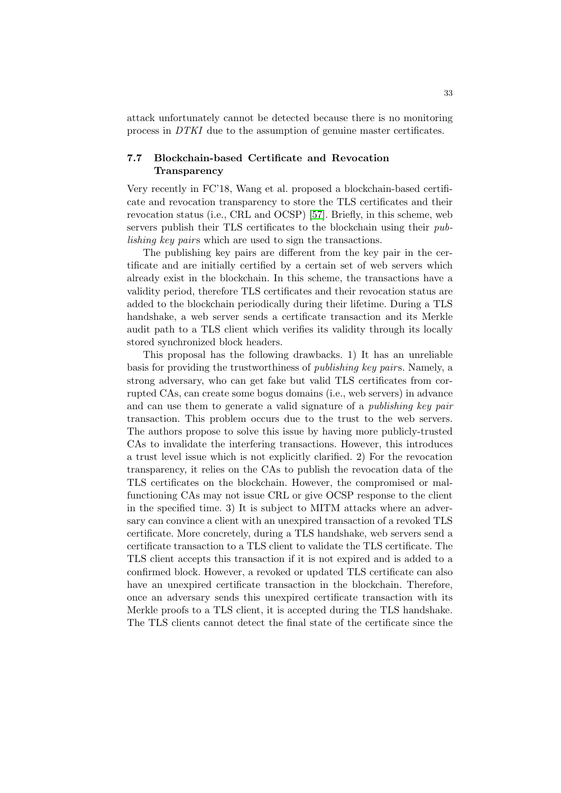attack unfortunately cannot be detected because there is no monitoring process in DTKI due to the assumption of genuine master certificates.

# 7.7 Blockchain-based Certificate and Revocation **Transparency**

Very recently in FC'18, Wang et al. proposed a blockchain-based certificate and revocation transparency to store the TLS certificates and their revocation status (i.e., CRL and OCSP) [\[57\]](#page-41-10). Briefly, in this scheme, web servers publish their TLS certificates to the blockchain using their publishing key pairs which are used to sign the transactions.

The publishing key pairs are different from the key pair in the certificate and are initially certified by a certain set of web servers which already exist in the blockchain. In this scheme, the transactions have a validity period, therefore TLS certificates and their revocation status are added to the blockchain periodically during their lifetime. During a TLS handshake, a web server sends a certificate transaction and its Merkle audit path to a TLS client which verifies its validity through its locally stored synchronized block headers.

This proposal has the following drawbacks. 1) It has an unreliable basis for providing the trustworthiness of *publishing key pairs*. Namely, a strong adversary, who can get fake but valid TLS certificates from corrupted CAs, can create some bogus domains (i.e., web servers) in advance and can use them to generate a valid signature of a publishing key pair transaction. This problem occurs due to the trust to the web servers. The authors propose to solve this issue by having more publicly-trusted CAs to invalidate the interfering transactions. However, this introduces a trust level issue which is not explicitly clarified. 2) For the revocation transparency, it relies on the CAs to publish the revocation data of the TLS certificates on the blockchain. However, the compromised or malfunctioning CAs may not issue CRL or give OCSP response to the client in the specified time. 3) It is subject to MITM attacks where an adversary can convince a client with an unexpired transaction of a revoked TLS certificate. More concretely, during a TLS handshake, web servers send a certificate transaction to a TLS client to validate the TLS certificate. The TLS client accepts this transaction if it is not expired and is added to a confirmed block. However, a revoked or updated TLS certificate can also have an unexpired certificate transaction in the blockchain. Therefore, once an adversary sends this unexpired certificate transaction with its Merkle proofs to a TLS client, it is accepted during the TLS handshake. The TLS clients cannot detect the final state of the certificate since the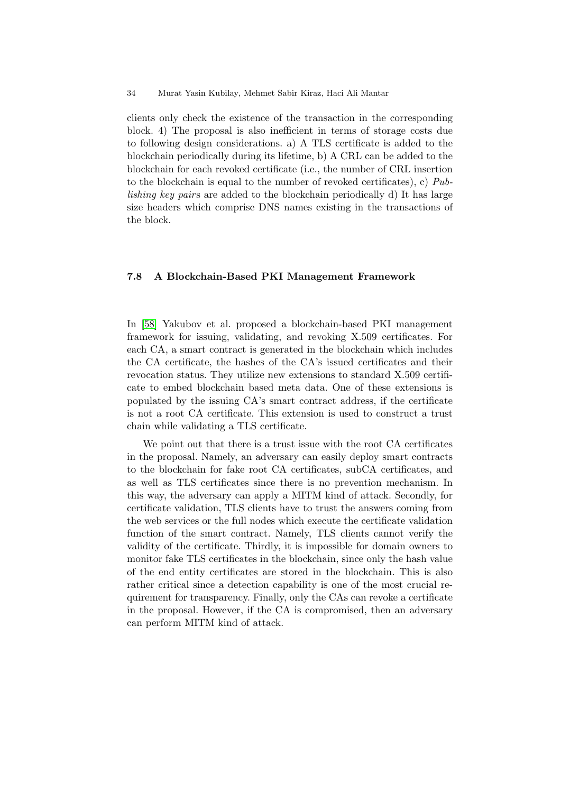clients only check the existence of the transaction in the corresponding block. 4) The proposal is also inefficient in terms of storage costs due to following design considerations. a) A TLS certificate is added to the blockchain periodically during its lifetime, b) A CRL can be added to the blockchain for each revoked certificate (i.e., the number of CRL insertion to the blockchain is equal to the number of revoked certificates), c)  $Pub$ lishing key pairs are added to the blockchain periodically d) It has large size headers which comprise DNS names existing in the transactions of the block.

#### 7.8 A Blockchain-Based PKI Management Framework

In [\[58\]](#page-41-11) Yakubov et al. proposed a blockchain-based PKI management framework for issuing, validating, and revoking X.509 certificates. For each CA, a smart contract is generated in the blockchain which includes the CA certificate, the hashes of the CA's issued certificates and their revocation status. They utilize new extensions to standard X.509 certificate to embed blockchain based meta data. One of these extensions is populated by the issuing CA's smart contract address, if the certificate is not a root CA certificate. This extension is used to construct a trust chain while validating a TLS certificate.

We point out that there is a trust issue with the root CA certificates in the proposal. Namely, an adversary can easily deploy smart contracts to the blockchain for fake root CA certificates, subCA certificates, and as well as TLS certificates since there is no prevention mechanism. In this way, the adversary can apply a MITM kind of attack. Secondly, for certificate validation, TLS clients have to trust the answers coming from the web services or the full nodes which execute the certificate validation function of the smart contract. Namely, TLS clients cannot verify the validity of the certificate. Thirdly, it is impossible for domain owners to monitor fake TLS certificates in the blockchain, since only the hash value of the end entity certificates are stored in the blockchain. This is also rather critical since a detection capability is one of the most crucial requirement for transparency. Finally, only the CAs can revoke a certificate in the proposal. However, if the CA is compromised, then an adversary can perform MITM kind of attack.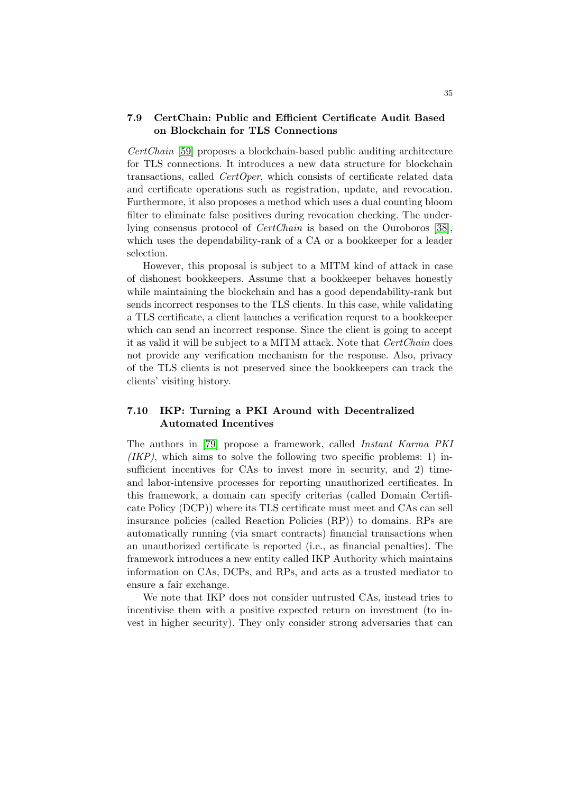# 7.9 CertChain: Public and Efficient Certificate Audit Based on Blockchain for TLS Connections

CertChain [\[59\]](#page-41-12) proposes a blockchain-based public auditing architecture for TLS connections. It introduces a new data structure for blockchain transactions, called CertOper, which consists of certificate related data and certificate operations such as registration, update, and revocation. Furthermore, it also proposes a method which uses a dual counting bloom filter to eliminate false positives during revocation checking. The underlying consensus protocol of CertChain is based on the Ouroboros [\[38\]](#page-40-13), which uses the dependability-rank of a CA or a bookkeeper for a leader selection.

However, this proposal is subject to a MITM kind of attack in case of dishonest bookkeepers. Assume that a bookkeeper behaves honestly while maintaining the blockchain and has a good dependability-rank but sends incorrect responses to the TLS clients. In this case, while validating a TLS certificate, a client launches a verification request to a bookkeeper which can send an incorrect response. Since the client is going to accept it as valid it will be subject to a MITM attack. Note that CertChain does not provide any verification mechanism for the response. Also, privacy of the TLS clients is not preserved since the bookkeepers can track the clients' visiting history.

# 7.10 IKP: Turning a PKI Around with Decentralized Automated Incentives

The authors in [\[79\]](#page-42-11) propose a framework, called Instant Karma PKI  $(IKP)$ , which aims to solve the following two specific problems: 1) insufficient incentives for CAs to invest more in security, and 2) timeand labor-intensive processes for reporting unauthorized certificates. In this framework, a domain can specify criterias (called Domain Certificate Policy (DCP)) where its TLS certificate must meet and CAs can sell insurance policies (called Reaction Policies (RP)) to domains. RPs are automatically running (via smart contracts) financial transactions when an unauthorized certificate is reported (i.e., as financial penalties). The framework introduces a new entity called IKP Authority which maintains information on CAs, DCPs, and RPs, and acts as a trusted mediator to ensure a fair exchange.

We note that IKP does not consider untrusted CAs, instead tries to incentivise them with a positive expected return on investment (to invest in higher security). They only consider strong adversaries that can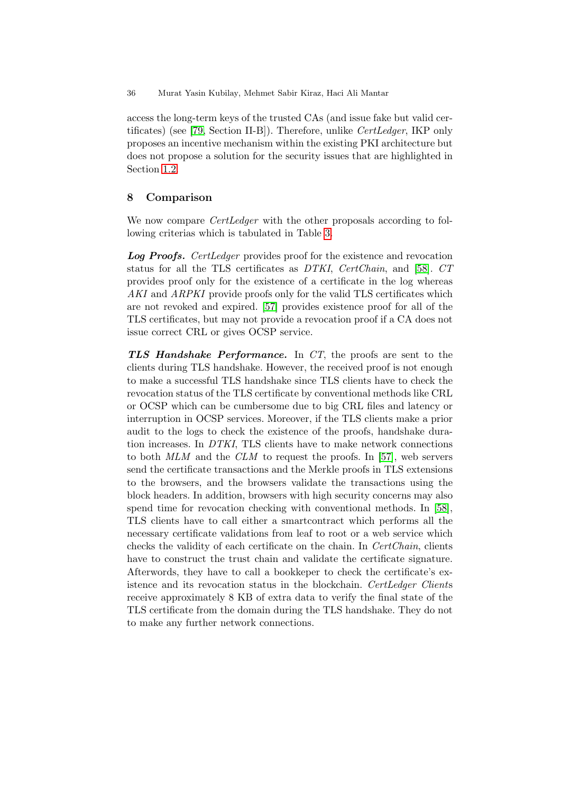access the long-term keys of the trusted CAs (and issue fake but valid certificates) (see [\[79,](#page-42-11) Section II-B]). Therefore, unlike CertLedger, IKP only proposes an incentive mechanism within the existing PKI architecture but does not propose a solution for the security issues that are highlighted in Section [1.2.](#page-3-0)

#### <span id="page-35-0"></span>8 Comparison

We now compare *CertLedger* with the other proposals according to following criterias which is tabulated in Table [3.](#page-36-0)

Log Proofs. CertLedger provides proof for the existence and revocation status for all the TLS certificates as DTKI, CertChain, and [\[58\]](#page-41-11). CT provides proof only for the existence of a certificate in the log whereas AKI and ARPKI provide proofs only for the valid TLS certificates which are not revoked and expired. [\[57\]](#page-41-10) provides existence proof for all of the TLS certificates, but may not provide a revocation proof if a CA does not issue correct CRL or gives OCSP service.

TLS Handshake Performance. In CT, the proofs are sent to the clients during TLS handshake. However, the received proof is not enough to make a successful TLS handshake since TLS clients have to check the revocation status of the TLS certificate by conventional methods like CRL or OCSP which can be cumbersome due to big CRL files and latency or interruption in OCSP services. Moreover, if the TLS clients make a prior audit to the logs to check the existence of the proofs, handshake duration increases. In DTKI, TLS clients have to make network connections to both MLM and the CLM to request the proofs. In [\[57\]](#page-41-10), web servers send the certificate transactions and the Merkle proofs in TLS extensions to the browsers, and the browsers validate the transactions using the block headers. In addition, browsers with high security concerns may also spend time for revocation checking with conventional methods. In [\[58\]](#page-41-11), TLS clients have to call either a smartcontract which performs all the necessary certificate validations from leaf to root or a web service which checks the validity of each certificate on the chain. In CertChain, clients have to construct the trust chain and validate the certificate signature. Afterwords, they have to call a bookkeper to check the certificate's existence and its revocation status in the blockchain. CertLedger Clients receive approximately 8 KB of extra data to verify the final state of the TLS certificate from the domain during the TLS handshake. They do not to make any further network connections.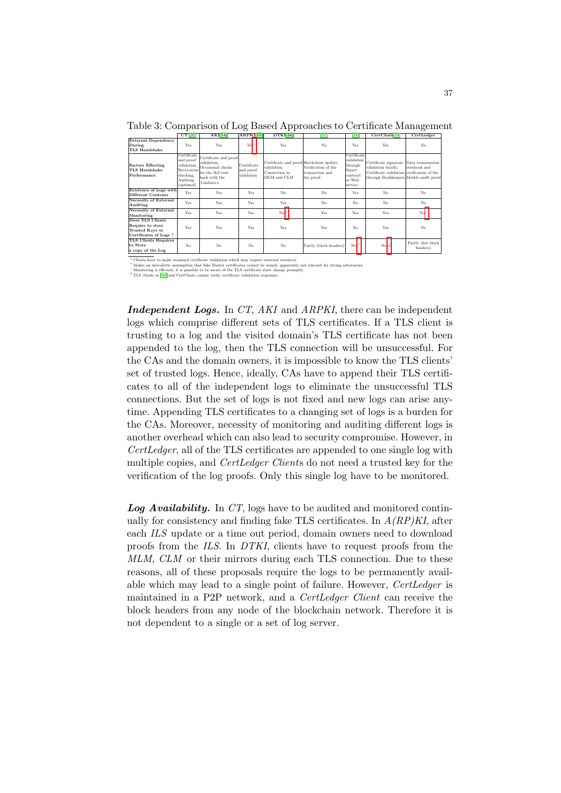$CT [20]$  $CT [20]$   $AKI[54]$  $AKI[54]$   $|ARPKI[55]$  $|ARPKI[55]$   $DTKI[56]$  $DTKI[56]$   $|57$   $|58|$   $CertChain[59]$  $CertChain[59]$   $CertLedger$ External Dependency During TLS Handshake Yes Yes Yes[a](#page-36-1) Yes No Yes Yes No  $\fbox{\parbox{2.6in}{\bf Factors} Effecting TLS Handshake}$ Certificate and proof validation, rocati checking, Auditing (optional) Certificate and proof validation,<br>original check r the ILS roo sh with the Validator s Certificate and proof validation Certificate and proof  $_{\rm diidation}$ Connection to MLM and CLM Blockchain update, erification of the ansaction and the proof Certificate validation  $_{\rm nuof}$ nart<br>Sart contract or Web service Certificate signature ation l ertificate validat ugh Bookkee Data transmission od and verification of the Merkle audit pro Existence of Logs with Different Contents Yes Yes Yes No No Yes No No DIFIGRENT CONCERS<br>Necessity of External Yes Yes Yes Yes Yes No No No No No<br>Auditing Necessity of External Monitoring Yes Yes Yes No [b](#page-36-2) Yes Yes Yes Yes[c](#page-36-3) equire to store<br>usted Keys or Yes Yes Yes Yes Yes No Yes No TLS Clients Requires to Store  $\frac{1}{2}$  copy of the Log No No  $N$  No  $\begin{array}{|c|c|c|c|c|}\n\hline\n\text{No} & \text{N0} & \text{Partly (block headers)} & \text{No} & \text{Not} & \text{back} \\
\hline\n\end{array}$  $\begin{array}{|c|c|c|c|c|}\n\hline\n\text{No} & \text{N0} & \text{Partly (block headers)} & \text{No} & \text{Not} & \text{back} \\
\hline\n\end{array}$  $\begin{array}{|c|c|c|c|c|}\n\hline\n\text{No} & \text{N0} & \text{Partly (block headers)} & \text{No} & \text{Not} & \text{back} \\
\hline\n\end{array}$ rtly (few<br>headers

<span id="page-36-0"></span>Table 3: Comparison of Log Based Approaches to Certificate Management

<span id="page-36-2"></span><span id="page-36-1"></span> $^a$  Clients have to make standard certificate validation which may require external resources  $^b$  Makes an unrealistic assumption that fake Master certificates cannot be issued, apparently not relevant for strong advers

<span id="page-36-4"></span><span id="page-36-3"></span>

Independent Logs. In CT, AKI and ARPKI, there can be independent logs which comprise different sets of TLS certificates. If a TLS client is trusting to a log and the visited domain's TLS certificate has not been appended to the log, then the TLS connection will be unsuccessful. For the CAs and the domain owners, it is impossible to know the TLS clients' set of trusted logs. Hence, ideally, CAs have to append their TLS certificates to all of the independent logs to eliminate the unsuccessful TLS connections. But the set of logs is not fixed and new logs can arise anytime. Appending TLS certificates to a changing set of logs is a burden for the CAs. Moreover, necessity of monitoring and auditing different logs is another overhead which can also lead to security compromise. However, in CertLedger, all of the TLS certificates are appended to one single log with multiple copies, and *CertLedger Clients* do not need a trusted key for the verification of the log proofs. Only this single log have to be monitored.

Log Availability. In CT, logs have to be audited and monitored continually for consistency and finding fake TLS certificates. In  $A(RP)KL$ , after each ILS update or a time out period, domain owners need to download proofs from the ILS. In DTKI, clients have to request proofs from the MLM, CLM or their mirrors during each TLS connection. Due to these reasons, all of these proposals require the logs to be permanently available which may lead to a single point of failure. However, CertLedger is maintained in a P2P network, and a CertLedger Client can receive the block headers from any node of the blockchain network. Therefore it is not dependent to a single or a set of log server.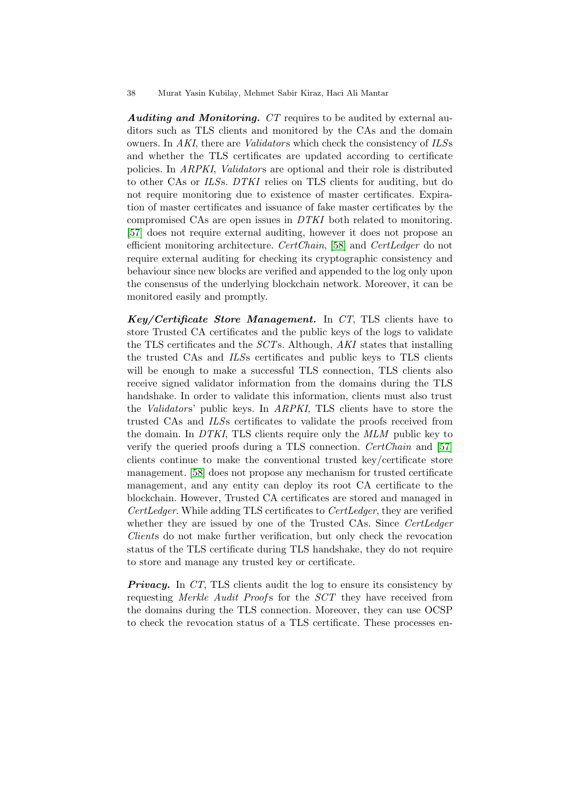Auditing and Monitoring. CT requires to be audited by external auditors such as TLS clients and monitored by the CAs and the domain owners. In AKI, there are Validators which check the consistency of  $ILS$ s and whether the TLS certificates are updated according to certificate policies. In *ARPKI*, *Validators* are optional and their role is distributed to other CAs or ILSs. DTKI relies on TLS clients for auditing, but do not require monitoring due to existence of master certificates. Expiration of master certificates and issuance of fake master certificates by the compromised CAs are open issues in DTKI both related to monitoring. [\[57\]](#page-41-10) does not require external auditing, however it does not propose an efficient monitoring architecture. CertChain, [\[58\]](#page-41-11) and CertLedger do not require external auditing for checking its cryptographic consistency and behaviour since new blocks are verified and appended to the log only upon the consensus of the underlying blockchain network. Moreover, it can be monitored easily and promptly.

Key/Certificate Store Management. In CT, TLS clients have to store Trusted CA certificates and the public keys of the logs to validate the TLS certificates and the SCTs. Although, AKI states that installing the trusted CAs and ILSs certificates and public keys to TLS clients will be enough to make a successful TLS connection, TLS clients also receive signed validator information from the domains during the TLS handshake. In order to validate this information, clients must also trust the *Validators*' public keys. In *ARPKI*, TLS clients have to store the trusted CAs and ILSs certificates to validate the proofs received from the domain. In DTKI, TLS clients require only the MLM public key to verify the queried proofs during a TLS connection. CertChain and [\[57\]](#page-41-10) clients continue to make the conventional trusted key/certificate store management. [\[58\]](#page-41-11) does not propose any mechanism for trusted certificate management, and any entity can deploy its root CA certificate to the blockchain. However, Trusted CA certificates are stored and managed in CertLedger. While adding TLS certificates to CertLedger, they are verified whether they are issued by one of the Trusted CAs. Since CertLedger Clients do not make further verification, but only check the revocation status of the TLS certificate during TLS handshake, they do not require to store and manage any trusted key or certificate.

**Privacy.** In CT, TLS clients audit the log to ensure its consistency by requesting Merkle Audit Proofs for the SCT they have received from the domains during the TLS connection. Moreover, they can use OCSP to check the revocation status of a TLS certificate. These processes en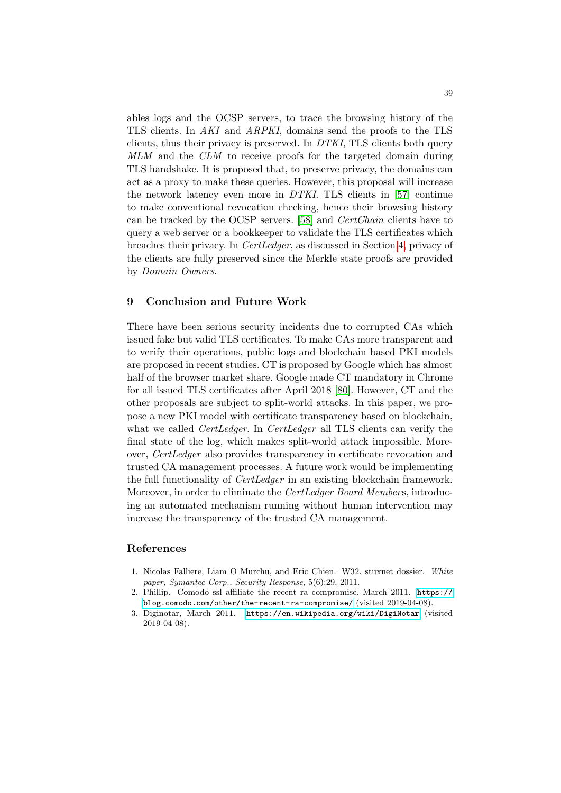ables logs and the OCSP servers, to trace the browsing history of the TLS clients. In AKI and ARPKI, domains send the proofs to the TLS clients, thus their privacy is preserved. In DTKI, TLS clients both query MLM and the CLM to receive proofs for the targeted domain during TLS handshake. It is proposed that, to preserve privacy, the domains can act as a proxy to make these queries. However, this proposal will increase the network latency even more in DTKI. TLS clients in [\[57\]](#page-41-10) continue to make conventional revocation checking, hence their browsing history can be tracked by the OCSP servers. [\[58\]](#page-41-11) and CertChain clients have to query a web server or a bookkeeper to validate the TLS certificates which breaches their privacy. In CertLedger, as discussed in Section [4,](#page-20-0) privacy of the clients are fully preserved since the Merkle state proofs are provided by Domain Owners.

# <span id="page-38-3"></span>9 Conclusion and Future Work

There have been serious security incidents due to corrupted CAs which issued fake but valid TLS certificates. To make CAs more transparent and to verify their operations, public logs and blockchain based PKI models are proposed in recent studies. CT is proposed by Google which has almost half of the browser market share. Google made CT mandatory in Chrome for all issued TLS certificates after April 2018 [\[80\]](#page-42-12). However, CT and the other proposals are subject to split-world attacks. In this paper, we propose a new PKI model with certificate transparency based on blockchain, what we called *CertLedger*. In *CertLedger* all TLS clients can verify the final state of the log, which makes split-world attack impossible. Moreover, CertLedger also provides transparency in certificate revocation and trusted CA management processes. A future work would be implementing the full functionality of CertLedger in an existing blockchain framework. Moreover, in order to eliminate the CertLedger Board Members, introducing an automated mechanism running without human intervention may increase the transparency of the trusted CA management.

#### References

- <span id="page-38-0"></span>1. Nicolas Falliere, Liam O Murchu, and Eric Chien. W32. stuxnet dossier. White paper, Symantec Corp., Security Response, 5(6):29, 2011.
- <span id="page-38-1"></span>2. Phillip. Comodo ssl affiliate the recent ra compromise, March 2011. [https://](https://blog.comodo.com/other/the-recent-ra-compromise/) [blog.comodo.com/other/the-recent-ra-compromise/](https://blog.comodo.com/other/the-recent-ra-compromise/) (visited 2019-04-08).
- <span id="page-38-2"></span>3. Diginotar, March 2011. <https://en.wikipedia.org/wiki/DigiNotar> (visited 2019-04-08).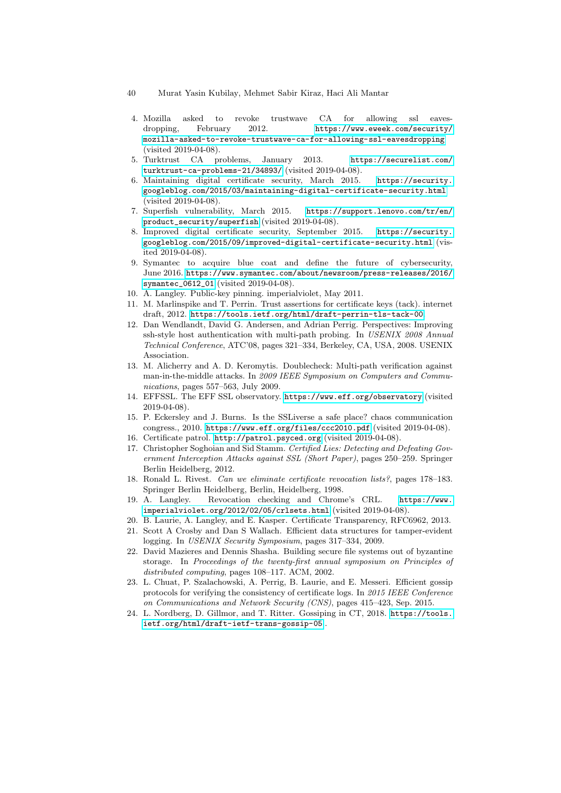- <span id="page-39-0"></span>4. Mozilla asked to revoke trustwave CA for allowing ssl eavesdropping, February 2012. [https://www.eweek.com/security/](https://www.eweek.com/security/mozilla-asked-to-revoke-trustwave-ca-for-allowing-ssl-eavesdropping) [mozilla-asked-to-revoke-trustwave-ca-for-allowing-ssl-eavesdropping](https://www.eweek.com/security/mozilla-asked-to-revoke-trustwave-ca-for-allowing-ssl-eavesdropping) (visited 2019-04-08).
- <span id="page-39-1"></span>5. Turktrust CA problems, January 2013. [https://securelist.com/](https://securelist.com/turktrust-ca-problems-21/34893/) [turktrust-ca-problems-21/34893/](https://securelist.com/turktrust-ca-problems-21/34893/) (visited 2019-04-08).
- <span id="page-39-2"></span>6. Maintaining digital certificate security, March 2015. [https://security.](https://security.googleblog.com/2015/03/maintaining-digital-certificate-security.html) [googleblog.com/2015/03/maintaining-digital-certificate-security.html](https://security.googleblog.com/2015/03/maintaining-digital-certificate-security.html) (visited 2019-04-08).
- <span id="page-39-3"></span>7. Superfish vulnerability, March 2015. [https://support.lenovo.com/tr/en/](https://support.lenovo.com/tr/en/product_security/superfish) [product\\_security/superfish](https://support.lenovo.com/tr/en/product_security/superfish) (visited 2019-04-08).
- <span id="page-39-4"></span>8. Improved digital certificate security, September 2015. [https://security.](https://security.googleblog.com/2015/09/improved-digital-certificate-security.html) [googleblog.com/2015/09/improved-digital-certificate-security.html](https://security.googleblog.com/2015/09/improved-digital-certificate-security.html) (visited 2019-04-08).
- <span id="page-39-5"></span>9. Symantec to acquire blue coat and define the future of cybersecurity, June 2016. [https://www.symantec.com/about/newsroom/press-releases/2016/](https://www.symantec.com/about/newsroom/press-releases/2016/symantec_0612_01) [symantec\\_0612\\_01](https://www.symantec.com/about/newsroom/press-releases/2016/symantec_0612_01) (visited 2019-04-08).
- <span id="page-39-6"></span>10. A. Langley. Public-key pinning. imperialviolet, May 2011.
- <span id="page-39-7"></span>11. M. Marlinspike and T. Perrin. Trust assertions for certificate keys (tack). internet draft, 2012. <https://tools.ietf.org/html/draft-perrin-tls-tack-00>.
- <span id="page-39-8"></span>12. Dan Wendlandt, David G. Andersen, and Adrian Perrig. Perspectives: Improving ssh-style host authentication with multi-path probing. In USENIX 2008 Annual Technical Conference, ATC'08, pages 321–334, Berkeley, CA, USA, 2008. USENIX Association.
- <span id="page-39-9"></span>13. M. Alicherry and A. D. Keromytis. Doublecheck: Multi-path verification against man-in-the-middle attacks. In 2009 IEEE Symposium on Computers and Communications, pages 557–563, July 2009.
- <span id="page-39-10"></span>14. EFFSSL. The EFF SSL observatory. <https://www.eff.org/observatory> (visited 2019-04-08).
- <span id="page-39-11"></span>15. P. Eckersley and J. Burns. Is the SSLiverse a safe place? chaos communication congress., 2010. <https://www.eff.org/files/ccc2010.pdf> (visited 2019-04-08).
- <span id="page-39-12"></span>16. Certificate patrol. [http://patrol.psyced.org]( http://patrol.psyced.org) (visited 2019-04-08).
- <span id="page-39-13"></span>17. Christopher Soghoian and Sid Stamm. Certified Lies: Detecting and Defeating Government Interception Attacks against SSL (Short Paper), pages 250–259. Springer Berlin Heidelberg, 2012.
- <span id="page-39-14"></span>18. Ronald L. Rivest. Can we eliminate certificate revocation lists?, pages 178–183. Springer Berlin Heidelberg, Berlin, Heidelberg, 1998.
- <span id="page-39-15"></span>19. A. Langley. Revocation checking and Chrome's CRL. [https://www.](https://www.imperialviolet.org/2012/02/05/crlsets.html) [imperialviolet.org/2012/02/05/crlsets.html](https://www.imperialviolet.org/2012/02/05/crlsets.html) (visited 2019-04-08).
- <span id="page-39-16"></span>20. B. Laurie, A. Langley, and E. Kasper. Certificate Transparency, RFC6962, 2013.
- <span id="page-39-17"></span>21. Scott A Crosby and Dan S Wallach. Efficient data structures for tamper-evident logging. In USENIX Security Symposium, pages 317–334, 2009.
- <span id="page-39-18"></span>22. David Mazieres and Dennis Shasha. Building secure file systems out of byzantine storage. In Proceedings of the twenty-first annual symposium on Principles of distributed computing, pages 108–117. ACM, 2002.
- <span id="page-39-19"></span>23. L. Chuat, P. Szalachowski, A. Perrig, B. Laurie, and E. Messeri. Efficient gossip protocols for verifying the consistency of certificate logs. In 2015 IEEE Conference on Communications and Network Security (CNS), pages 415–423, Sep. 2015.
- <span id="page-39-20"></span>24. L. Nordberg, D. Gillmor, and T. Ritter. Gossiping in CT, 2018. [https://tools.](https://tools.ietf.org/html/draft-ietf-trans-gossip-05) [ietf.org/html/draft-ietf-trans-gossip-05](https://tools.ietf.org/html/draft-ietf-trans-gossip-05),.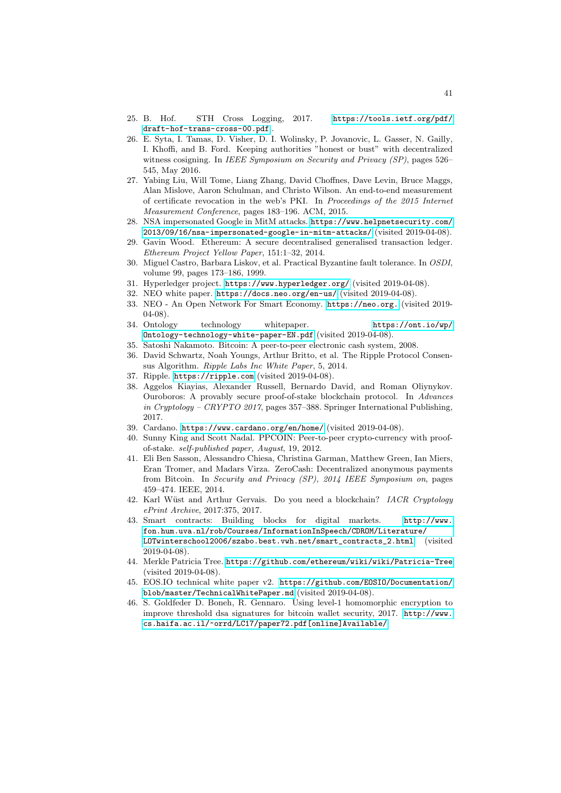- <span id="page-40-0"></span>25. B. Hof. STH Cross Logging, 2017. [https://tools.ietf.org/pdf/](https://tools.ietf.org/pdf/draft-hof-trans-cross-00.pdf) [draft-hof-trans-cross-00.pdf](https://tools.ietf.org/pdf/draft-hof-trans-cross-00.pdf),.
- <span id="page-40-1"></span>26. E. Syta, I. Tamas, D. Visher, D. I. Wolinsky, P. Jovanovic, L. Gasser, N. Gailly, I. Khoffi, and B. Ford. Keeping authorities "honest or bust" with decentralized witness cosigning. In IEEE Symposium on Security and Privacy (SP), pages 526– 545, May 2016.
- <span id="page-40-2"></span>27. Yabing Liu, Will Tome, Liang Zhang, David Choffnes, Dave Levin, Bruce Maggs, Alan Mislove, Aaron Schulman, and Christo Wilson. An end-to-end measurement of certificate revocation in the web's PKI. In Proceedings of the 2015 Internet Measurement Conference, pages 183–196. ACM, 2015.
- <span id="page-40-3"></span>28. NSA impersonated Google in MitM attacks. [https://www.helpnetsecurity.com/](https://www.helpnetsecurity.com/2013/09/16/nsa-impersonated-google-in-mitm-attacks/) [2013/09/16/nsa-impersonated-google-in-mitm-attacks/](https://www.helpnetsecurity.com/2013/09/16/nsa-impersonated-google-in-mitm-attacks/) (visited 2019-04-08).
- <span id="page-40-4"></span>29. Gavin Wood. Ethereum: A secure decentralised generalised transaction ledger. Ethereum Project Yellow Paper, 151:1–32, 2014.
- <span id="page-40-5"></span>30. Miguel Castro, Barbara Liskov, et al. Practical Byzantine fault tolerance. In OSDI, volume 99, pages 173–186, 1999.
- <span id="page-40-6"></span>31. Hyperledger project. <https://www.hyperledger.org/> (visited 2019-04-08).
- <span id="page-40-7"></span>32. NEO white paper. <https://docs.neo.org/en-us/> (visited 2019-04-08).
- <span id="page-40-8"></span>33. NEO - An Open Network For Smart Economy. <https://neo.org.> (visited 2019- 04-08).
- <span id="page-40-9"></span>34. Ontology technology whitepaper. [https://ont.io/wp/](https://ont.io/wp/Ontology-technology-white-paper-EN.pdf) [Ontology-technology-white-paper-EN.pdf](https://ont.io/wp/Ontology-technology-white-paper-EN.pdf) (visited 2019-04-08).
- <span id="page-40-10"></span>35. Satoshi Nakamoto. Bitcoin: A peer-to-peer electronic cash system, 2008.
- <span id="page-40-11"></span>36. David Schwartz, Noah Youngs, Arthur Britto, et al. The Ripple Protocol Consensus Algorithm. Ripple Labs Inc White Paper, 5, 2014.
- <span id="page-40-12"></span>37. Ripple. <https://ripple.com> (visited 2019-04-08).
- <span id="page-40-13"></span>38. Aggelos Kiayias, Alexander Russell, Bernardo David, and Roman Oliynykov. Ouroboros: A provably secure proof-of-stake blockchain protocol. In Advances in Cryptology – CRYPTO 2017, pages 357–388. Springer International Publishing, 2017.
- <span id="page-40-14"></span>39. Cardano. <https://www.cardano.org/en/home/> (visited 2019-04-08).
- <span id="page-40-15"></span>40. Sunny King and Scott Nadal. PPCOIN: Peer-to-peer crypto-currency with proofof-stake. self-published paper, August, 19, 2012.
- <span id="page-40-16"></span>41. Eli Ben Sasson, Alessandro Chiesa, Christina Garman, Matthew Green, Ian Miers, Eran Tromer, and Madars Virza. ZeroCash: Decentralized anonymous payments from Bitcoin. In Security and Privacy (SP), 2014 IEEE Symposium on, pages 459–474. IEEE, 2014.
- <span id="page-40-17"></span>42. Karl Wüst and Arthur Gervais. Do you need a blockchain? IACR Cryptology ePrint Archive, 2017:375, 2017.
- <span id="page-40-18"></span>43. Smart contracts: Building blocks for digital markets. [http://www.](http://www.fon.hum.uva.nl/rob/Courses/InformationInSpeech/CDROM/Literature/LOTwinterschool2006/szabo.best.vwh.net/smart_contracts_2.html) [fon.hum.uva.nl/rob/Courses/InformationInSpeech/CDROM/Literature/](http://www.fon.hum.uva.nl/rob/Courses/InformationInSpeech/CDROM/Literature/LOTwinterschool2006/szabo.best.vwh.net/smart_contracts_2.html) [LOTwinterschool2006/szabo.best.vwh.net/smart\\_contracts\\_2.html](http://www.fon.hum.uva.nl/rob/Courses/InformationInSpeech/CDROM/Literature/LOTwinterschool2006/szabo.best.vwh.net/smart_contracts_2.html) (visited 2019-04-08).
- <span id="page-40-19"></span>44. Merkle Patricia Tree. <https://github.com/ethereum/wiki/wiki/Patricia-Tree> (visited 2019-04-08).
- <span id="page-40-20"></span>45. EOS.IO technical white paper v2. [https://github.com/EOSIO/Documentation/](https://github.com/EOSIO/Documentation/blob/master/TechnicalWhitePaper.md) [blob/master/TechnicalWhitePaper.md](https://github.com/EOSIO/Documentation/blob/master/TechnicalWhitePaper.md) (visited 2019-04-08).
- <span id="page-40-21"></span>46. S. Goldfeder D. Boneh, R. Gennaro. Using level-1 homomorphic encryption to improve threshold dsa signatures for bitcoin wallet security, 2017. [http://www.](http://www.cs.haifa.ac.il/~orrd/LC17/paper72.pdf [online] Available/) [cs.haifa.ac.il/~orrd/LC17/paper72.pdf\[online\]Available/](http://www.cs.haifa.ac.il/~orrd/LC17/paper72.pdf [online] Available/).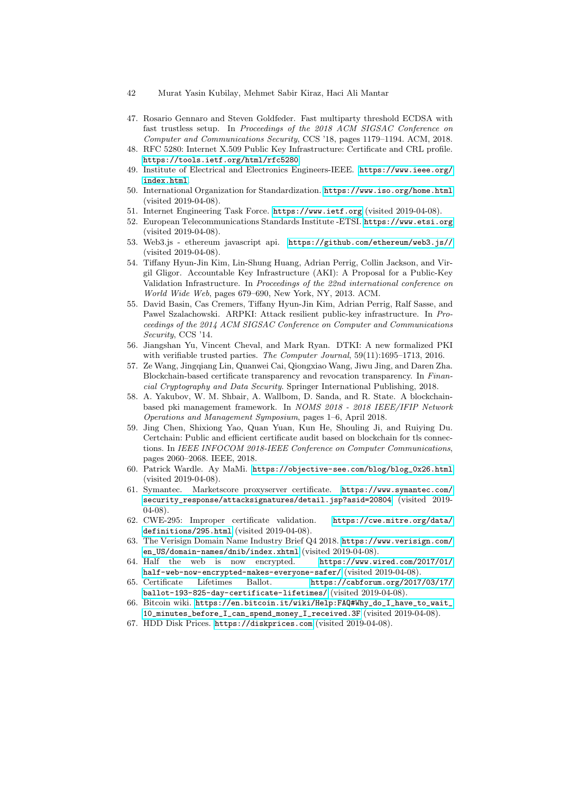- 42 Murat Yasin Kubilay, Mehmet Sabir Kiraz, Haci Ali Mantar
- <span id="page-41-3"></span>47. Rosario Gennaro and Steven Goldfeder. Fast multiparty threshold ECDSA with fast trustless setup. In Proceedings of the 2018 ACM SIGSAC Conference on Computer and Communications Security, CCS '18, pages 1179–1194. ACM, 2018.
- <span id="page-41-4"></span>48. RFC 5280: Internet X.509 Public Key Infrastructure: Certificate and CRL profile. <https://tools.ietf.org/html/rfc5280>.
- <span id="page-41-5"></span>49. Institute of Electrical and Electronics Engineers-IEEE. [https://www.ieee.org/](https://www.ieee.org/index.html) [index.html](https://www.ieee.org/index.html).
- <span id="page-41-6"></span>50. International Organization for Standardization. <https://www.iso.org/home.html> (visited 2019-04-08).
- <span id="page-41-7"></span>51. Internet Engineering Task Force. <https://www.ietf.org> (visited 2019-04-08).
- <span id="page-41-8"></span>52. European Telecommunications Standards Institute -ETSI. <https://www.etsi.org> (visited 2019-04-08).
- <span id="page-41-9"></span>53. Web3.js - ethereum javascript api. <https://github.com/ethereum/web3.js//> (visited 2019-04-08).
- <span id="page-41-0"></span>54. Tiffany Hyun-Jin Kim, Lin-Shung Huang, Adrian Perrig, Collin Jackson, and Virgil Gligor. Accountable Key Infrastructure (AKI): A Proposal for a Public-Key Validation Infrastructure. In Proceedings of the 22nd international conference on World Wide Web, pages 679–690, New York, NY, 2013. ACM.
- <span id="page-41-1"></span>55. David Basin, Cas Cremers, Tiffany Hyun-Jin Kim, Adrian Perrig, Ralf Sasse, and Pawel Szalachowski. ARPKI: Attack resilient public-key infrastructure. In Proceedings of the 2014 ACM SIGSAC Conference on Computer and Communications Security, CCS '14.
- <span id="page-41-2"></span>56. Jiangshan Yu, Vincent Cheval, and Mark Ryan. DTKI: A new formalized PKI with verifiable trusted parties. The Computer Journal, 59(11):1695–1713, 2016.
- <span id="page-41-10"></span>57. Ze Wang, Jingqiang Lin, Quanwei Cai, Qiongxiao Wang, Jiwu Jing, and Daren Zha. Blockchain-based certificate transparency and revocation transparency. In Financial Cryptography and Data Security. Springer International Publishing, 2018.
- <span id="page-41-11"></span>58. A. Yakubov, W. M. Shbair, A. Wallbom, D. Sanda, and R. State. A blockchainbased pki management framework. In NOMS 2018 - 2018 IEEE/IFIP Network Operations and Management Symposium, pages 1–6, April 2018.
- <span id="page-41-12"></span>59. Jing Chen, Shixiong Yao, Quan Yuan, Kun He, Shouling Ji, and Ruiying Du. Certchain: Public and efficient certificate audit based on blockchain for tls connections. In IEEE INFOCOM 2018-IEEE Conference on Computer Communications, pages 2060–2068. IEEE, 2018.
- <span id="page-41-13"></span>60. Patrick Wardle. Ay MaMi. [https://objective-see.com/blog/blog\\_0x26.html](https://objective-see.com/blog/blog_0x26.html) (visited 2019-04-08).
- <span id="page-41-14"></span>61. Symantec. Marketscore proxyserver certificate. [https://www.symantec.com/](https://www.symantec.com/security_response/attacksignatures/detail.jsp?asid=20804) [security\\_response/attacksignatures/detail.jsp?asid=20804](https://www.symantec.com/security_response/attacksignatures/detail.jsp?asid=20804) (visited 2019-04-08).
- <span id="page-41-15"></span>62. CWE-295: Improper certificate validation. [https://cwe.mitre.org/data/](https://cwe.mitre.org/data/definitions/295.html) [definitions/295.html](https://cwe.mitre.org/data/definitions/295.html) (visited 2019-04-08).
- <span id="page-41-16"></span>63. The Verisign Domain Name Industry Brief Q4 2018. [https://www.verisign.com/](https://www.verisign.com/en_US/domain-names/dnib/index.xhtml) [en\\_US/domain-names/dnib/index.xhtml](https://www.verisign.com/en_US/domain-names/dnib/index.xhtml) (visited 2019-04-08).
- <span id="page-41-17"></span>64. Half the web is now encrypted. [https://www.wired.com/2017/01/](https://www.wired.com/2017/01/half-web-now-encrypted-makes-everyone-safer/) [half-web-now-encrypted-makes-everyone-safer/](https://www.wired.com/2017/01/half-web-now-encrypted-makes-everyone-safer/) (visited 2019-04-08).
- <span id="page-41-18"></span>65. Certificate Lifetimes Ballot. [https://cabforum.org/2017/03/17/](https://cabforum.org/2017/03/17/ballot-193-825-day-certificate-lifetimes/) [ballot-193-825-day-certificate-lifetimes/](https://cabforum.org/2017/03/17/ballot-193-825-day-certificate-lifetimes/) (visited 2019-04-08).
- <span id="page-41-19"></span>66. Bitcoin wiki. [https://en.bitcoin.it/wiki/Help:FAQ#Why\\_do\\_I\\_have\\_to\\_wait\\_](https://en.bitcoin.it/wiki/Help:FAQ#Why_do_I_have_to_wait_10_minutes_before_I_can_spend_money_I_received.3F) [10\\_minutes\\_before\\_I\\_can\\_spend\\_money\\_I\\_received.3F](https://en.bitcoin.it/wiki/Help:FAQ#Why_do_I_have_to_wait_10_minutes_before_I_can_spend_money_I_received.3F) (visited 2019-04-08).
- <span id="page-41-20"></span>67. HDD Disk Prices. <https://diskprices.com> (visited 2019-04-08).